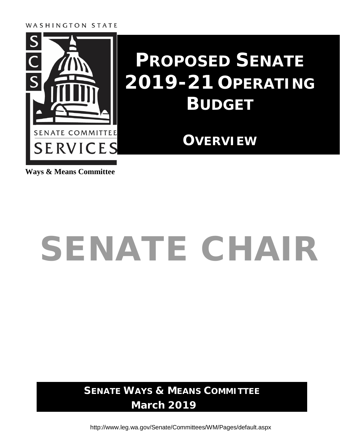WASHINGTON STATE



### **PROPOSED SENATE 2019-21 OPERATING BUDGET**

### **OVERVIEW**

**Ways & Means Committee**

# SENATE CHAIR

**SENATE WAYS & MEANS COMMITTEE March 2019**

<http://www.leg.wa.gov/Senate/Committees/WM/Pages/default.aspx>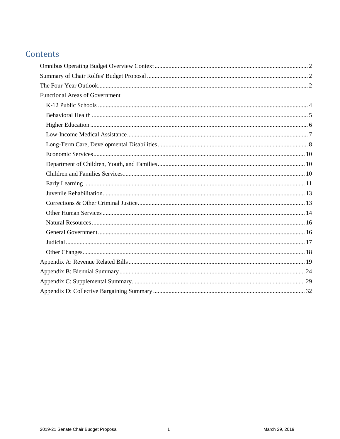#### Contents

| <b>Functional Areas of Government</b> |  |
|---------------------------------------|--|
|                                       |  |
|                                       |  |
|                                       |  |
|                                       |  |
|                                       |  |
|                                       |  |
|                                       |  |
|                                       |  |
|                                       |  |
|                                       |  |
|                                       |  |
|                                       |  |
|                                       |  |
|                                       |  |
|                                       |  |
|                                       |  |
|                                       |  |
|                                       |  |
|                                       |  |
|                                       |  |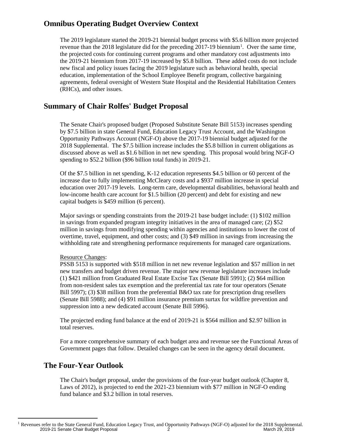#### <span id="page-3-0"></span>**Omnibus Operating Budget Overview Context**

The 2019 legislature started the 2019-21 biennial budget process with \$5.6 billion more projected revenue than the 20[1](#page-3-3)8 legislature did for the preceding  $2017-19$  biennium<sup>1</sup>. Over the same time, the projected costs for continuing current programs and other mandatory cost adjustments into the 2019-21 biennium from 2017-19 increased by \$5.8 billion. These added costs do not include new fiscal and policy issues facing the 2019 legislature such as behavioral health, special education, implementation of the School Employee Benefit program, collective bargaining agreements, federal oversight of Western State Hospital and the Residential Habilitation Centers (RHCs), and other issues.

#### <span id="page-3-1"></span>**Summary of Chair Rolfes' Budget Proposal**

The Senate Chair's proposed budget (Proposed Substitute Senate Bill 5153) increases spending by \$7.5 billion in state General Fund, Education Legacy Trust Account, and the Washington Opportunity Pathways Account (NGF-O) above the 2017-19 biennial budget adjusted for the 2018 Supplemental. The \$7.5 billion increase includes the \$5.8 billion in current obligations as discussed above as well as \$1.6 billion in net new spending. This proposal would bring NGF-O spending to \$52.2 billion (\$96 billion total funds) in 2019-21.

Of the \$7.5 billion in net spending, K-12 education represents \$4.5 billion or 60 percent of the increase due to fully implementing McCleary costs and a \$937 million increase in special education over 2017-19 levels. Long-term care, developmental disabilities, behavioral health and low-income health care account for \$1.5 billion (20 percent) and debt for existing and new capital budgets is \$459 million (6 percent).

Major savings or spending constraints from the 2019-21 base budget include: (1) \$102 million in savings from expanded program integrity initiatives in the area of managed care; (2) \$52 million in savings from modifying spending within agencies and institutions to lower the cost of overtime, travel, equipment, and other costs; and (3) \$49 million in savings from increasing the withholding rate and strengthening performance requirements for managed care organizations.

#### Resource Changes:

PSSB 5153 is supported with \$518 million in net new revenue legislation and \$57 million in net new transfers and budget driven revenue. The major new revenue legislature increases include (1) \$421 million from Graduated Real Estate Excise Tax (Senate Bill 5991); (2) \$64 million from non-resident sales tax exemption and the preferential tax rate for tour operators (Senate Bill 5997); (3) \$38 million from the preferential B&O tax rate for prescription drug resellers (Senate Bill 5988); and (4) \$91 million insurance premium surtax for wildfire prevention and suppression into a new dedicated account (Senate Bill 5996).

The projected ending fund balance at the end of 2019-21 is \$564 million and \$2.97 billion in total reserves.

For a more comprehensive summary of each budget area and revenue see the Functional Areas of Government pages that follow. Detailed changes can be seen in the agency detail document.

#### <span id="page-3-2"></span>**The Four-Year Outlook**

The Chair's budget proposal, under the provisions of the four-year budget outlook (Chapter 8, Laws of 2012), is projected to end the 2021-23 biennium with \$77 million in NGF-O ending fund balance and \$3.2 billion in total reserves.

<span id="page-3-3"></span><sup>2019-21</sup> Senate Chair Budget Proposal 2 2 March 29, 2019 <sup>1</sup> Revenues refer to the State General Fund, Education Legacy Trust, and Opportunity Pathways (NGF-O) adjusted for the 2018 Supplemental.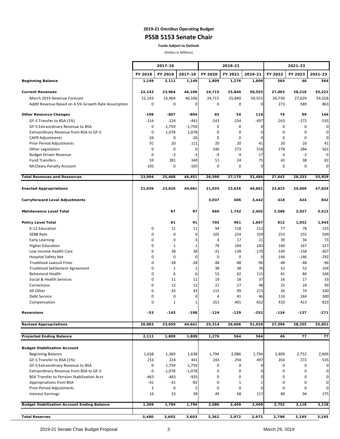#### **2019-21 Omnibus Operating Budget PSSB 5153 Senate Chair**

**Funds Subject to Outlook**

(Dollars in Millions)

|                                                                                             |                | 2017-19            |                    |                   | 2019-21  |              |               | 2021-23     |                               |
|---------------------------------------------------------------------------------------------|----------------|--------------------|--------------------|-------------------|----------|--------------|---------------|-------------|-------------------------------|
|                                                                                             | FY 2018        | FY 2019            | 2017-19            | FY 2020           | FY 2021  | 2019-21      | FY 2022       | FY 2023     | 2021-23                       |
| <b>Beginning Balance</b>                                                                    | 1,149          | 2,111              | 1,149              | 1,809             | 1,276    | 1,809        | 564           | 46          | 564                           |
|                                                                                             |                |                    |                    |                   |          |              |               |             |                               |
| <b>Current Revenues</b>                                                                     | 22,143         | 23,964             | 46,106             | 24,715            | 25,840   | 50,555       | 27,003        | 28,218      | 55,221                        |
| March 2019 Revenue Forecast                                                                 | 22,143         | 23,964             | 46,106             | 24,715            | 25,840   | 50,555       | 26,730        | 27,629      | 54,358                        |
| Addtl Revenue Based on 4.5% Growth Rate Assumption                                          | 0              | 0                  | 0                  | 0                 | 0        | 0            | 273           | 589         | 863                           |
| <b>Other Resource Changes</b>                                                               | $-198$         | $-607$             | -804               | 65                | 54       | 119          | 76            | 69          | 144                           |
| GF-S Transfer to BSA (1%)                                                                   | $-216$         | $-224$             | $-441$             | -243              | $-254$   | $-497$       | $-263$        | -272        | $-535$                        |
| GF-S Extraordinary Revenue to BSA                                                           | 0              | $-1,759$           | $-1,759$           | 0                 | 0        | 0            | 0             | 0           | $\mathbf 0$                   |
| Extraordinary Revenue from BSA to GF-S                                                      | 0              | 1,078              | 1,078              | 0                 | 0        | 0            | 0             | 0           | $\mathbf 0$                   |
| <b>CAFR Adjustments</b>                                                                     | -26            | 0                  | $-26$              | 0                 | 0        | 0            | 0             | 0           | $\mathbf 0$                   |
| Prior Period Adjustments                                                                    | 91             | 20                 | 111                | 20                | 20       | 41           | 20            | 20          | 41                            |
| Other Legislation                                                                           | 0              | 0                  | 0                  | 246               | 273      | 518          | 278           | 284         | 561                           |
| <b>Budget Driven Revenue</b>                                                                | 0              | $-3$               | -3                 | -9                | -9       | -17          | $-3$          | $-2$        | $-5$                          |
| <b>Fund Transfers</b>                                                                       | 59<br>$-105$   | 281<br>$\mathbf 0$ | 340<br>$-105$      | 51<br>$\mathbf 0$ | 24<br>0  | 75<br>0      | 43<br>0       | 38<br>0     | 82<br>$\mathbf 0$             |
| <b>McCleary Penalty Account</b>                                                             |                |                    |                    |                   |          |              |               |             |                               |
| <b>Total Revenues and Resources</b>                                                         | 23.094         | 25,468             | 46,451             | 26,590            | 27,170   | 52,484       | 27,642        | 28,333      | 55,929                        |
| <b>Enacted Appropriations</b>                                                               | 21,036         | 23,626             | 44,661             | 21,035            | 23,626   | 44,661       | 23,815        | 24,009      | 47,824                        |
| <b>Carryforward Level Adjustments</b>                                                       |                |                    |                    | 3,037             | 406      | 3,442        | 418           | 424         | 842                           |
| <b>Maintenance Level Total</b>                                                              |                | 87                 | 87                 | 660               | 1,742    | 2,402        | 2,586         | 2,927       | 5,512                         |
|                                                                                             |                |                    |                    |                   |          |              |               |             |                               |
| <b>Policy Level Total</b>                                                                   |                | 91                 | 91                 | 705               | 961      | 1,667        | 912           | 1,032       | 1,943                         |
| K-12 Education                                                                              | 0              | 11                 | 11                 | 94                | 118      | 212          | 77            | 78          | 155                           |
| <b>SEBB Rate</b>                                                                            | 0              | 0                  | 0                  | 105               | 224      | 329          | 253           | 255         | 509                           |
| Early Learning                                                                              | 0              | -3                 | -3                 | $\overline{4}$    | 17       | 21           | 39            | 34          | 73                            |
| <b>Higher Education</b>                                                                     | 0              | $\mathbf{1}$       | $\mathbf{1}$       | 79                | 104      | 183          | 160           | 167         | 327                           |
| Low Income Health Care                                                                      | 0              | 38                 | 38                 | $-31$             | $-139$   | $-170$       | $-149$        | -158        | $-307$                        |
| <b>Hospital Safety Net</b><br><b>Trueblood Lawsuit Fines</b>                                | 0<br>0         | 0<br>$-28$         | 0<br>$-28$         | 0<br>-48          | 0<br>-48 | 0<br>-96     | $-146$<br>-48 | -146<br>-48 | $-292$<br>$-96$               |
| Trueblood Settlement Agreement                                                              | 0              | $1\,$              | $\mathbf{1}$       | 38                | 38       | 76           | 52            | 52          | 104                           |
| <b>Behavioral Health</b>                                                                    | 0              | 6                  | 6                  | 53                | 62       | 115          | 81            | 84          | 166                           |
| Social & Health Services                                                                    | 0              | 11                 | 11                 | 19                | 18       | 37           | 16            | 17          | 33                            |
| Corrections                                                                                 | 0              | 12                 | 12                 | 21                | 27       | 48           | 25            | 24          | 49                            |
| All Other                                                                                   | 0              | 43                 | 43                 | 115               | 99       | 215          | 26            | 74          | 100                           |
| Debt Service                                                                                | 0              | $\mathbf 0$        | 0                  | $\overline{4}$    | 41       | 46           | 116           | 184         | 300                           |
| Compensation                                                                                | 0              | $\mathbf{1}$       | 1                  | 251               | 401      | 652          | 410           | 413         | 823                           |
| <b>Reversions</b>                                                                           | -53            | $-145$             | -198               | $-124$            | $-129$   | $-252$       | $-134$        | $-137$      | $-271$                        |
| <b>Revised Appropriations</b>                                                               | 20,983         | 23,659             | 44,641             | 25,314            | 26,606   | 51,920       | 27,596        | 28,255      | 55,851                        |
| <b>Projected Ending Balance</b>                                                             |                | 1,809              | 1,809              |                   | 564      | 564          | 46            | 77          | 77                            |
|                                                                                             | 2,111          |                    |                    | 1,276             |          |              |               |             |                               |
| <b>Budget Stabilization Account</b>                                                         |                |                    |                    |                   |          |              |               |             |                               |
| <b>Beginning Balance</b>                                                                    | 1,638          | 1,369              | 1,638              | 1,794             | 2,086    | 1,794        | 2,409         | 2,752       | 2,409                         |
| GF-S Transfer to BSA (1%)                                                                   | 216            | 224                | 441                | 243               | 254      | 497          | 263           | 272         | 535                           |
| GF-S Extraordinary Revenue to BSA                                                           | 0              | 1,759              | 1,759              | 0                 | 0        | 0            | 0             | 0           | $\overline{0}$                |
| Extraordinary Revenue from BSA to GF-S<br><b>BSA Transfer to Pension Stabilization Acct</b> | 0<br>-463      | $-1,078$<br>-463   | $-1,078$<br>$-925$ | 0<br>0            | 0<br>0   | 0<br>0       | 0<br>0        | 0<br>0      | $\overline{0}$<br>$\mathbf 0$ |
| Appropriations from BSA                                                                     | $-41$          | $-41$              | $-82$              | 0                 | 1        | $\mathbf{1}$ | 0             | 0           | $\mathbf 0$                   |
| Prior Period Adjustments                                                                    | $\overline{2}$ | 0                  | 2                  | 0                 | 0        | 0            | 0             | 0           | $\mathbf 0$                   |
| <b>Interest Earnings</b>                                                                    | 16             | 23                 | 39                 | 49                | 68       | 117          | 80            | 94          | 175                           |
| <b>Budget Stabilization Account Ending Balance</b>                                          | 1,369          | 1,794              | 1,794              | 2,086             | 2,409    | 2,409        | 2,752         | 3,118       | 3,118                         |
|                                                                                             |                |                    |                    |                   |          |              |               |             |                               |
| <b>Total Reserves</b>                                                                       | 3,480          | 3,603              | 3,603              | 3,362             | 2,972    | 2,972        | 2,798         | 3,195       | 3,195                         |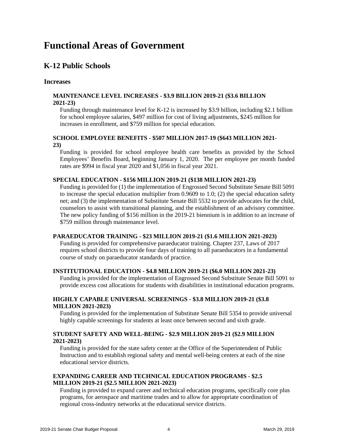#### **Functional Areas of Government**

#### <span id="page-5-0"></span>**K-12 Public Schools**

#### **Increases**

#### **MAINTENANCE LEVEL INCREASES - \$3.9 BILLION 2019-21 (\$3.6 BILLION 2021-23)**

Funding through maintenance level for K-12 is increased by \$3.9 billion, including \$2.1 billion for school employee salaries, \$497 million for cost of living adjustments, \$245 million for increases in enrollment, and \$759 million for special education.

#### **SCHOOL EMPLOYEE BENEFITS - \$507 MILLION 2017-19 (\$643 MILLION 2021- 23)**

Funding is provided for school employee health care benefits as provided by the School Employees' Benefits Board, beginning January 1, 2020. The per employee per month funded rates are \$994 in fiscal year 2020 and \$1,056 in fiscal year 2021.

#### **SPECIAL EDUCATION - \$156 MILLION 2019-21 (\$138 MILLION 2021-23)**

Funding is provided for (1) the implementation of Engrossed Second Substitute Senate Bill 5091 to increase the special education multiplier from 0.9609 to 1.0; (2) the special education safety net; and (3) the implementation of Substitute Senate Bill 5532 to provide advocates for the child, counselors to assist with transitional planning, and the establishment of an advisory committee. The new policy funding of \$156 million in the 2019-21 biennium is in addition to an increase of \$759 million through maintenance level.

#### **PARAEDUCATOR TRAINING - \$23 MILLION 2019-21 (\$1.6 MILLION 2021-2023)**

Funding is provided for comprehensive paraeducator training. Chapter 237, Laws of 2017 requires school districts to provide four days of training to all paraeducators in a fundamental course of study on paraeducator standards of practice.

#### **INSTITUTIONAL EDUCATION - \$4.8 MILLION 2019-21 (\$6.0 MILLION 2021-23)**

Funding is provided for the implementation of Engrossed Second Substitute Senate Bill 5091 to provide excess cost allocations for students with disabilities in institutional education programs.

#### **HIGHLY CAPABLE UNIVERSAL SCREENINGS - \$3.8 MILLION 2019-21 (\$3.8 MILLION 2021-2023)**

Funding is provided for the implementation of Substitute Senate Bill 5354 to provide universal highly capable screenings for students at least once between second and sixth grade.

#### **STUDENT SAFETY AND WELL-BEING - \$2.9 MILLION 2019-21 (\$2.9 MILLION 2021-2023)**

Funding is provided for the state safety center at the Office of the Superintendent of Public Instruction and to establish regional safety and mental well-being centers at each of the nine educational service districts.

#### **EXPANDING CAREER AND TECHNICAL EDUCATION PROGRAMS - \$2.5 MILLION 2019-21 (\$2.5 MILLION 2021-2023)**

Funding is provided to expand career and technical education programs, specifically core plus programs, for aerospace and maritime trades and to allow for appropriate coordination of regional cross-industry networks at the educational service districts.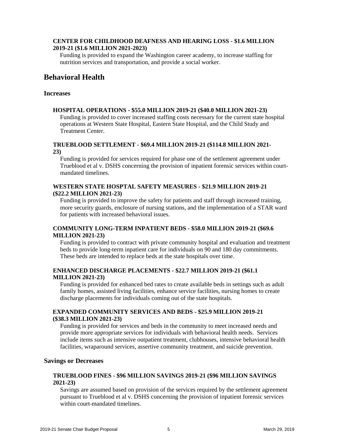#### **CENTER FOR CHILDHOOD DEAFNESS AND HEARING LOSS - \$1.6 MILLION 2019-21 (\$1.6 MILLION 2021-2023)**

Funding is provided to expand the Washington career academy, to increase staffing for nutrition services and transportation, and provide a social worker.

#### <span id="page-6-0"></span>**Behavioral Health**

#### **Increases**

#### **HOSPITAL OPERATIONS - \$55.0 MILLION 2019-21 (\$40.0 MILLION 2021-23)**

Funding is provided to cover increased staffing costs necessary for the current state hospital operations at Western State Hospital, Eastern State Hospital, and the Child Study and Treatment Center.

#### **TRUEBLOOD SETTLEMENT - \$69.4 MILLION 2019-21 (\$114.8 MILLION 2021- 23)**

Funding is provided for services required for phase one of the settlement agreement under Trueblood et al v. DSHS concerning the provision of inpatient forensic services within courtmandated timelines.

#### **WESTERN STATE HOSPTAL SAFETY MEASURES - \$21.9 MILLION 2019-21 (\$22.2 MILLION 2021-23)**

Funding is provided to improve the safety for patients and staff through increased training, more security guards, enclosure of nursing stations, and the implementation of a STAR ward for patients with increased behavioral issues.

#### **COMMUNITY LONG-TERM INPATIENT BEDS - \$58.0 MILLION 2019-21 (\$69.6 MILLION 2021-23)**

Funding is provided to contract with private community hospital and evaluation and treatment beds to provide long-term inpatient care for individuals on 90 and 180 day commitments. These beds are intended to replace beds at the state hospitals over time.

#### **ENHANCED DISCHARGE PLACEMENTS - \$22.7 MILLION 2019-21 (\$61.1 MILLION 2021-23)**

Funding is provided for enhanced bed rates to create available beds in settings such as adult family homes, assisted living facilities, enhance service facilities, nursing homes to create discharge placements for individuals coming out of the state hospitals.

#### **EXPANDED COMMUNITY SERVICES AND BEDS - \$25.9 MILLION 2019-21 (\$38.3 MILLION 2021-23)**

Funding is provided for services and beds in the community to meet increased needs and provide more appropriate services for individuals with behavioral health needs. Services include items such as intensive outpatient treatment, clubhouses, intensive behavioral health facilities, wraparound services, assertive community treatment, and suicide prevention.

#### **Savings or Decreases**

#### **TRUEBLOOD FINES - \$96 MILLION SAVINGS 2019-21 (\$96 MILLION SAVINGS 2021-23)**

Savings are assumed based on provision of the services required by the settlement agreement pursuant to Trueblood et al v. DSHS concerning the provision of inpatient forensic services within court-mandated timelines.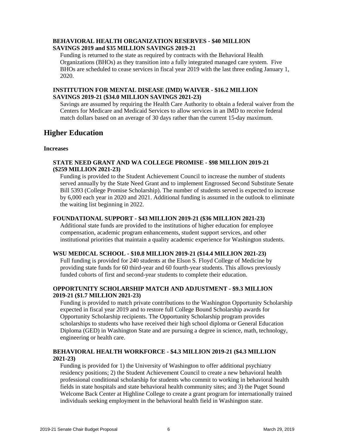#### **BEHAVIORAL HEALTH ORGANIZATION RESERVES - \$40 MILLION SAVINGS 2019 and \$35 MILLION SAVINGS 2019-21**

Funding is returned to the state as required by contracts with the Behavioral Health Organizations (BHOs) as they transition into a fully integrated managed care system. Five BHOs are scheduled to cease services in fiscal year 2019 with the last three ending January 1, 2020.

#### **INSTITUTION FOR MENTAL DISEASE (IMD) WAIVER - \$16.2 MILLION SAVINGS 2019-21 (\$34.0 MILLION SAVINGS 2021-23)**

Savings are assumed by requiring the Health Care Authority to obtain a federal waiver from the Centers for Medicare and Medicaid Services to allow services in an IMD to receive federal match dollars based on an average of 30 days rather than the current 15-day maximum.

#### <span id="page-7-0"></span>**Higher Education**

#### **Increases**

#### **STATE NEED GRANT AND WA COLLEGE PROMISE - \$98 MILLION 2019-21 (\$259 MILLION 2021-23)**

Funding is provided to the Student Achievement Council to increase the number of students served annually by the State Need Grant and to implement Engrossed Second Substitute Senate Bill 5393 (College Promise Scholarship). The number of students served is expected to increase by 6,000 each year in 2020 and 2021. Additional funding is assumed in the outlook to eliminate the waiting list beginning in 2022.

#### **FOUNDATIONAL SUPPORT - \$43 MILLION 2019-21 (\$36 MILLION 2021-23)**

Additional state funds are provided to the institutions of higher education for employee compensation, academic program enhancements, student support services, and other institutional priorities that maintain a quality academic experience for Washington students.

#### **WSU MEDICAL SCHOOL - \$10.8 MILLION 2019-21 (\$14.4 MILLION 2021-23)**

Full funding is provided for 240 students at the Elson S. Floyd College of Medicine by providing state funds for 60 third-year and 60 fourth-year students. This allows previously funded cohorts of first and second-year students to complete their education.

#### **OPPORTUNITY SCHOLARSHIP MATCH AND ADJUSTMENT - \$9.3 MILLION 2019-21 (\$1.7 MILLION 2021-23)**

Funding is provided to match private contributions to the Washington Opportunity Scholarship expected in fiscal year 2019 and to restore full College Bound Scholarship awards for Opportunity Scholarship recipients. The Opportunity Scholarship program provides scholarships to students who have received their high school diploma or General Education Diploma (GED) in Washington State and are pursuing a degree in science, math, technology, engineering or health care.

#### **BEHAVIORAL HEALTH WORKFORCE - \$4.3 MILLION 2019-21 (\$4.3 MILLION 2021-23)**

Funding is provided for 1) the University of Washington to offer additional psychiatry residency positions; 2) the Student Achievement Council to create a new behavioral health professional conditional scholarship for students who commit to working in behavioral health fields in state hospitals and state behavioral health community sites; and 3) the Puget Sound Welcome Back Center at Highline College to create a grant program for internationally trained individuals seeking employment in the behavioral health field in Washington state.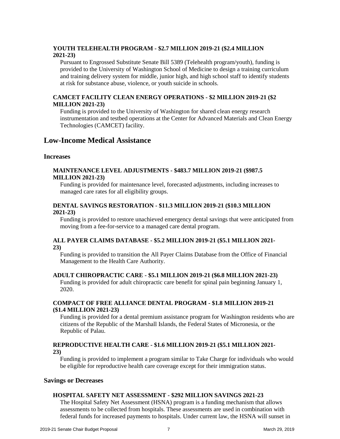#### **YOUTH TELEHEALTH PROGRAM - \$2.7 MILLION 2019-21 (\$2.4 MILLION 2021-23)**

Pursuant to Engrossed Substitute Senate Bill 5389 (Telehealth program/youth), funding is provided to the University of Washington School of Medicine to design a training curriculum and training delivery system for middle, junior high, and high school staff to identify students at risk for substance abuse, violence, or youth suicide in schools.

#### **CAMCET FACILITY CLEAN ENERGY OPERATIONS - \$2 MILLION 2019-21 (\$2 MILLION 2021-23)**

Funding is provided to the University of Washington for shared clean energy research instrumentation and testbed operations at the Center for Advanced Materials and Clean Energy Technologies (CAMCET) facility.

#### <span id="page-8-0"></span>**Low-Income Medical Assistance**

#### **Increases**

#### **MAINTENANCE LEVEL ADJUSTMENTS - \$483.7 MILLION 2019-21 (\$987.5 MILLION 2021-23)**

Funding is provided for maintenance level, forecasted adjustments, including increases to managed care rates for all eligibility groups.

#### **DENTAL SAVINGS RESTORATION - \$11.3 MILLION 2019-21 (\$10.3 MILLION 2021-23)**

Funding is provided to restore unachieved emergency dental savings that were anticipated from moving from a fee-for-service to a managed care dental program.

#### **ALL PAYER CLAIMS DATABASE - \$5.2 MILLION 2019-21 (\$5.1 MILLION 2021- 23)**

Funding is provided to transition the All Payer Claims Database from the Office of Financial Management to the Health Care Authority.

#### **ADULT CHIROPRACTIC CARE - \$5.1 MILLION 2019-21 (\$6.8 MILLION 2021-23)**

Funding is provided for adult chiropractic care benefit for spinal pain beginning January 1, 2020.

#### **COMPACT OF FREE ALLIANCE DENTAL PROGRAM - \$1.8 MILLION 2019-21 (\$1.4 MILLION 2021-23)**

Funding is provided for a dental premium assistance program for Washington residents who are citizens of the Republic of the Marshall Islands, the Federal States of Micronesia, or the Republic of Palau.

#### **REPRODUCTIVE HEALTH CARE - \$1.6 MILLION 2019-21 (\$5.1 MILLION 2021- 23)**

Funding is provided to implement a program similar to Take Charge for individuals who would be eligible for reproductive health care coverage except for their immigration status.

#### **Savings or Decreases**

#### **HOSPITAL SAFETY NET ASSESSMENT - \$292 MILLION SAVINGS 2021-23**

The Hospital Safety Net Assessment (HSNA) program is a funding mechanism that allows assessments to be collected from hospitals. These assessments are used in combination with federal funds for increased payments to hospitals. Under current law, the HSNA will sunset in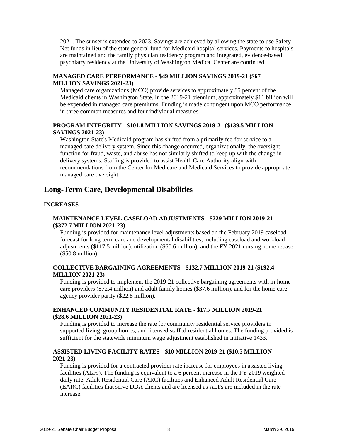2021. The sunset is extended to 2023. Savings are achieved by allowing the state to use Safety Net funds in lieu of the state general fund for Medicaid hospital services. Payments to hospitals are maintained and the family physician residency program and integrated, evidence-based psychiatry residency at the University of Washington Medical Center are continued.

#### **MANAGED CARE PERFORMANCE - \$49 MILLION SAVINGS 2019-21 (\$67 MILLION SAVINGS 2021-23)**

Managed care organizations (MCO) provide services to approximately 85 percent of the Medicaid clients in Washington State. In the 2019-21 biennium, approximately \$11 billion will be expended in managed care premiums. Funding is made contingent upon MCO performance in three common measures and four individual measures.

#### **PROGRAM INTEGRITY - \$101.8 MILLION SAVINGS 2019-21 (\$139.5 MILLION SAVINGS 2021-23)**

Washington State's Medicaid program has shifted from a primarily fee-for-service to a managed care delivery system. Since this change occurred, organizationally, the oversight function for fraud, waste, and abuse has not similarly shifted to keep up with the change in delivery systems. Staffing is provided to assist Health Care Authority align with recommendations from the Center for Medicare and Medicaid Services to provide appropriate managed care oversight.

#### <span id="page-9-0"></span>**Long-Term Care, Developmental Disabilities**

#### **INCREASES**

#### **MAINTENANCE LEVEL CASELOAD ADJUSTMENTS - \$229 MILLION 2019-21 (\$372.7 MILLION 2021-23)**

Funding is provided for maintenance level adjustments based on the February 2019 caseload forecast for long-term care and developmental disabilities, including caseload and workload adjustments (\$117.5 million), utilization (\$60.6 million), and the FY 2021 nursing home rebase (\$50.8 million).

#### **COLLECTIVE BARGAINING AGREEMENTS - \$132.7 MILLION 2019-21 (\$192.4 MILLION 2021-23)**

Funding is provided to implement the 2019-21 collective bargaining agreements with in-home care providers (\$72.4 million) and adult family homes (\$37.6 million), and for the home care agency provider parity (\$22.8 million).

#### **ENHANCED COMMUNITY RESIDENTIAL RATE - \$17.7 MILLION 2019-21 (\$28.6 MILLION 2021-23)**

Funding is provided to increase the rate for community residential service providers in supported living, group homes, and licensed staffed residential homes. The funding provided is sufficient for the statewide minimum wage adjustment established in Initiative 1433.

#### **ASSISTED LIVING FACILITY RATES - \$10 MILLION 2019-21 (\$10.5 MILLION 2021-23)**

Funding is provided for a contracted provider rate increase for employees in assisted living facilities (ALFs). The funding is equivalent to a 6 percent increase in the FY 2019 weighted daily rate. Adult Residential Care (ARC) facilities and Enhanced Adult Residential Care (EARC) facilities that serve DDA clients and are licensed as ALFs are included in the rate increase.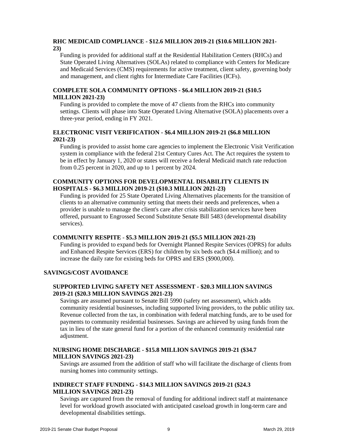#### **RHC MEDICAID COMPLIANCE - \$12.6 MILLION 2019-21 (\$10.6 MILLION 2021- 23)**

Funding is provided for additional staff at the Residential Habilitation Centers (RHCs) and State Operated Living Alternatives (SOLAs) related to compliance with Centers for Medicare and Medicaid Services (CMS) requirements for active treatment, client safety, governing body and management, and client rights for Intermediate Care Facilities (ICFs).

#### **COMPLETE SOLA COMMUNITY OPTIONS - \$6.4 MILLION 2019-21 (\$10.5 MILLION 2021-23)**

Funding is provided to complete the move of 47 clients from the RHCs into community settings. Clients will phase into State Operated Living Alternative (SOLA) placements over a three-year period, ending in FY 2021.

#### **ELECTRONIC VISIT VERIFICATION - \$6.4 MILLION 2019-21 (\$6.8 MILLION 2021-23)**

Funding is provided to assist home care agencies to implement the Electronic Visit Verification system in compliance with the federal 21st Century Cures Act. The Act requires the system to be in effect by January 1, 2020 or states will receive a federal Medicaid match rate reduction from 0.25 percent in 2020, and up to 1 percent by 2024.

#### **COMMUNITY OPTIONS FOR DEVELOPMENTAL DISABILITY CLIENTS IN HOSPITALS - \$6.3 MILLION 2019-21 (\$10.3 MILLION 2021-23)**

Funding is provided for 25 State Operated Living Alternatives placements for the transition of clients to an alternative community setting that meets their needs and preferences, when a provider is unable to manage the client's care after crisis stabilization services have been offered, pursuant to Engrossed Second Substitute Senate Bill 5483 (developmental disability services).

#### **COMMUNITY RESPITE** - **\$5.3 MILLION 2019-21 (\$5.5 MILLION 2021-23)**

Funding is provided to expand beds for Overnight Planned Respite Services (OPRS) for adults and Enhanced Respite Services (ERS) for children by six beds each (\$4.4 million); and to increase the daily rate for existing beds for OPRS and ERS (\$900,000).

#### **SAVINGS/COST AVOIDANCE**

#### **SUPPORTED LIVING SAFETY NET ASSESSMENT - \$20.3 MILLION SAVINGS 2019-21 (\$20.3 MILLION SAVINGS 2021-23)**

Savings are assumed pursuant to Senate Bill 5990 (safety net assessment), which adds community residential businesses, including supported living providers, to the public utility tax. Revenue collected from the tax, in combination with federal matching funds, are to be used for payments to community residential businesses. Savings are achieved by using funds from the tax in lieu of the state general fund for a portion of the enhanced community residential rate adjustment.

#### **NURSING HOME DISCHARGE - \$15.8 MILLION SAVINGS 2019-21 (\$34.7 MILLION SAVINGS 2021-23)**

Savings are assumed from the addition of staff who will facilitate the discharge of clients from nursing homes into community settings.

#### **INDIRECT STAFF FUNDING - \$14.3 MILLION SAVINGS 2019-21 (\$24.3 MILLION SAVINGS 2021-23)**

Savings are captured from the removal of funding for additional indirect staff at maintenance level for workload growth associated with anticipated caseload growth in long-term care and developmental disabilities settings.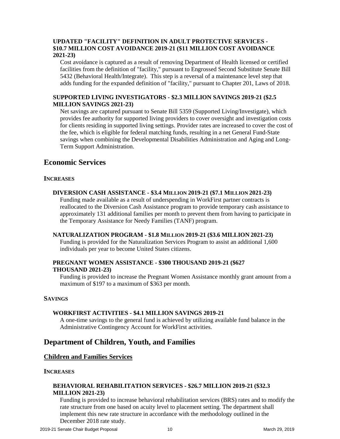#### **UPDATED "FACILITY" DEFINITION IN ADULT PROTECTIVE SERVICES - \$10.7 MILLION COST AVOIDANCE 2019-21 (\$11 MILLION COST AVOIDANCE 2021-23)**

Cost avoidance is captured as a result of removing Department of Health licensed or certified facilities from the definition of "facility," pursuant to Engrossed Second Substitute Senate Bill 5432 (Behavioral Health/Integrate). This step is a reversal of a maintenance level step that adds funding for the expanded definition of "facility," pursuant to Chapter 201, Laws of 2018.

#### **SUPPORTED LIVING INVESTIGATORS - \$2.3 MILLION SAVINGS 2019-21 (\$2.5 MILLION SAVINGS 2021-23)**

Net savings are captured pursuant to Senate Bill 5359 (Supported Living/Investigate), which provides fee authority for supported living providers to cover oversight and investigation costs for clients residing in supported living settings. Provider rates are increased to cover the cost of the fee, which is eligible for federal matching funds, resulting in a net General Fund-State savings when combining the Developmental Disabilities Administration and Aging and Long-Term Support Administration.

#### <span id="page-11-0"></span>**Economic Services**

#### **INCREASES**

#### **DIVERSION CASH ASSISTANCE - \$3.4 MILLION 2019-21 (\$7.1 MILLION 2021-23)**

Funding made available as a result of underspending in WorkFirst partner contracts is reallocated to the Diversion Cash Assistance program to provide temporary cash assistance to approximately 131 additional families per month to prevent them from having to participate in the Temporary Assistance for Needy Families (TANF) program.

#### **NATURALIZATION PROGRAM - \$1.8 MILLION 2019-21 (\$3.6 MILLION 2021-23)**

Funding is provided for the Naturalization Services Program to assist an additional 1,600 individuals per year to become United States citizens.

#### **PREGNANT WOMEN ASSISTANCE - \$300 THOUSAND 2019-21 (\$627 THOUSAND 2021-23)**

Funding is provided to increase the Pregnant Women Assistance monthly grant amount from a maximum of \$197 to a maximum of \$363 per month.

#### **SAVINGS**

#### **WORKFIRST ACTIVITIES - \$4.1 MILLION SAVINGS 2019-21**

A one-time savings to the general fund is achieved by utilizing available fund balance in the Administrative Contingency Account for WorkFirst activities.

#### <span id="page-11-1"></span>**Department of Children, Youth, and Families**

#### <span id="page-11-2"></span>**Children and Families Services**

#### **INCREASES**

#### **BEHAVIORAL REHABILITATION SERVICES - \$26.7 MILLION 2019-21 (\$32.3 MILLION 2021-23)**

Funding is provided to increase behavioral rehabilitation services (BRS) rates and to modify the rate structure from one based on acuity level to placement setting. The department shall implement this new rate structure in accordance with the methodology outlined in the December 2018 rate study.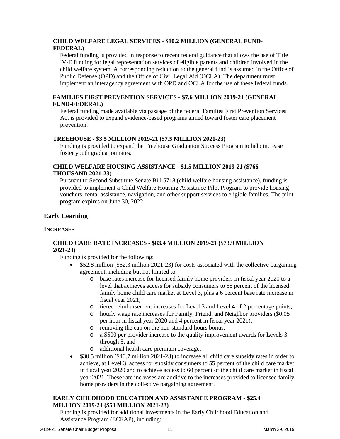#### **CHILD WELFARE LEGAL SERVICES - \$10.2 MILLION (GENERAL FUND-FEDERAL)**

Federal funding is provided in response to recent federal guidance that allows the use of Title IV-E funding for legal representation services of eligible parents and children involved in the child welfare system. A corresponding reduction to the general fund is assumed in the Office of Public Defense (OPD) and the Office of Civil Legal Aid (OCLA). The department must implement an interagency agreement with OPD and OCLA for the use of these federal funds.

#### **FAMILIES FIRST PREVENTION SERVICES - \$7.6 MILLION 2019-21 (GENERAL FUND-FEDERAL)**

Federal funding made available via passage of the federal Families First Prevention Services Act is provided to expand evidence-based programs aimed toward foster care placement prevention.

#### **TREEHOUSE - \$3.5 MILLION 2019-21 (\$7.5 MILLION 2021-23)**

Funding is provided to expand the Treehouse Graduation Success Program to help increase foster youth graduation rates.

#### **CHILD WELFARE HOUSING ASSISTANCE - \$1.5 MILLION 2019-21 (\$766 THOUSAND 2021-23)**

Pursuant to Second Substitute Senate Bill 5718 (child welfare housing assistance), funding is provided to implement a Child Welfare Housing Assistance Pilot Program to provide housing vouchers, rental assistance, navigation, and other support services to eligible families. The pilot program expires on June 30, 2022.

#### <span id="page-12-0"></span>**Early Learning**

#### **INCREASES**

#### **CHILD CARE RATE INCREASES - \$83.4 MILLION 2019-21 (\$73.9 MILLION 2021-23)**

Funding is provided for the following:

- \$52.8 million (\$62.3 million 2021-23) for costs associated with the collective bargaining agreement, including but not limited to:
	- o base rates increase for licensed family home providers in fiscal year 2020 to a level that achieves access for subsidy consumers to 55 percent of the licensed family home child care market at Level 3, plus a 6 percent base rate increase in fiscal year 2021;
	- o tiered reimbursement increases for Level 3 and Level 4 of 2 percentage points;
	- o hourly wage rate increases for Family, Friend, and Neighbor providers (\$0.05 per hour in fiscal year 2020 and 4 percent in fiscal year 2021);
	- o removing the cap on the non-standard hours bonus;
	- o a \$500 per provider increase to the quality improvement awards for Levels 3 through 5, and
	- o additional health care premium coverage.
- \$30.5 million (\$40.7 million 2021-23) to increase all child care subsidy rates in order to achieve, at Level 3, access for subsidy consumers to 55 percent of the child care market in fiscal year 2020 and to achieve access to 60 percent of the child care market in fiscal year 2021. These rate increases are additive to the increases provided to licensed family home providers in the collective bargaining agreement.

#### **EARLY CHILDHOOD EDUCATION AND ASSISTANCE PROGRAM - \$25.4 MILLION 2019-21 (\$53 MILLION 2021-23)**

Funding is provided for additional investments in the Early Childhood Education and Assistance Program (ECEAP), including: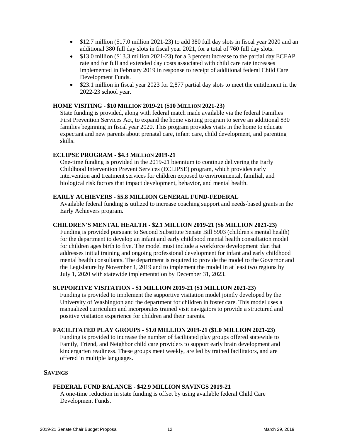- \$12.7 million (\$17.0 million 2021-23) to add 380 full day slots in fiscal year 2020 and an additional 380 full day slots in fiscal year 2021, for a total of 760 full day slots.
- \$13.0 million (\$13.3 million 2021-23) for a 3 percent increase to the partial day ECEAP rate and for full and extended day costs associated with child care rate increases implemented in February 2019 in response to receipt of additional federal Child Care Development Funds.
- \$23.1 million in fiscal year 2023 for 2,877 partial day slots to meet the entitlement in the 2022-23 school year.

#### **HOME VISITING - \$10 MILLION 2019-21 (\$10 MILLION 2021-23)**

State funding is provided, along with federal match made available via the federal Families First Prevention Services Act, to expand the home visiting program to serve an additional 830 families beginning in fiscal year 2020. This program provides visits in the home to educate expectant and new parents about prenatal care, infant care, child development, and parenting skills.

#### **ECLIPSE PROGRAM - \$4.3 MILLION 2019-21**

One-time funding is provided in the 2019-21 biennium to continue delivering the Early Childhood Intervention Prevent Services (ECLIPSE) program, which provides early intervention and treatment services for children exposed to environmental, familial, and biological risk factors that impact development, behavior, and mental health.

#### **EARLY ACHIEVERS - \$5.8 MILLION GENERAL FUND-FEDERAL**

Available federal funding is utilized to increase coaching support and needs-based grants in the Early Achievers program.

#### **CHILDREN'S MENTAL HEALTH - \$2.1 MILLION 2019-21 (\$6 MILLION 2021-23)**

Funding is provided pursuant to Second Substitute Senate Bill 5903 (children's mental health) for the department to develop an infant and early childhood mental health consultation model for children ages birth to five. The model must include a workforce development plan that addresses initial training and ongoing professional development for infant and early childhood mental health consultants. The department is required to provide the model to the Governor and the Legislature by November 1, 2019 and to implement the model in at least two regions by July 1, 2020 with statewide implementation by December 31, 2023.

#### **SUPPORTIVE VISITATION - \$1 MILLION 2019-21 (\$1 MILLION 2021-23)**

Funding is provided to implement the supportive visitation model jointly developed by the University of Washington and the department for children in foster care. This model uses a manualized curriculum and incorporates trained visit navigators to provide a structured and positive visitation experience for children and their parents.

#### **FACILITATED PLAY GROUPS - \$1.0 MILLION 2019-21 (\$1.0 MILLION 2021-23)**

Funding is provided to increase the number of facilitated play groups offered statewide to Family, Friend, and Neighbor child care providers to support early brain development and kindergarten readiness. These groups meet weekly, are led by trained facilitators, and are offered in multiple languages.

#### **SAVINGS**

#### **FEDERAL FUND BALANCE - \$42.9 MILLION SAVINGS 2019-21**

A one-time reduction in state funding is offset by using available federal Child Care Development Funds.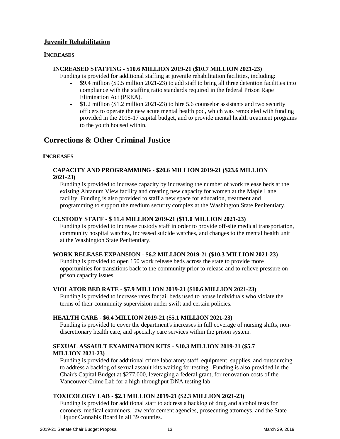#### <span id="page-14-0"></span>**Juvenile Rehabilitation**

#### **INCREASES**

#### **INCREASED STAFFING - \$10.6 MILLION 2019-21 (\$10.7 MILLION 2021-23)**

Funding is provided for additional staffing at juvenile rehabilitation facilities, including:

- \$9.4 million (\$9.5 million 2021-23) to add staff to bring all three detention facilities into compliance with the staffing ratio standards required in the federal Prison Rape Elimination Act (PREA).
- \$1.2 million (\$1.2 million 2021-23) to hire 5.6 counselor assistants and two security officers to operate the new acute mental health pod, which was remodeled with funding provided in the 2015-17 capital budget, and to provide mental health treatment programs to the youth housed within.

#### <span id="page-14-1"></span>**Corrections & Other Criminal Justice**

#### **INCREASES**

#### **CAPACITY AND PROGRAMMING - \$20.6 MILLION 2019-21 (\$23.6 MILLION 2021-23)**

Funding is provided to increase capacity by increasing the number of work release beds at the existing Ahtanum View facility and creating new capacity for women at the Maple Lane facility. Funding is also provided to staff a new space for education, treatment and programming to support the medium security complex at the Washington State Penitentiary.

#### **CUSTODY STAFF - \$ 11.4 MILLION 2019-21 (\$11.0 MILLION 2021-23)**

Funding is provided to increase custody staff in order to provide off-site medical transportation, community hospital watches, increased suicide watches, and changes to the mental health unit at the Washington State Penitentiary.

#### **WORK RELEASE EXPANSION - \$6.2 MILLION 2019-21 (\$10.3 MILLION 2021-23)**

Funding is provided to open 150 work release beds across the state to provide more opportunities for transitions back to the community prior to release and to relieve pressure on prison capacity issues.

#### **VIOLATOR BED RATE - \$7.9 MILLION 2019-21 (\$10.6 MILLION 2021-23)**

Funding is provided to increase rates for jail beds used to house individuals who violate the terms of their community supervision under swift and certain policies.

#### **HEALTH CARE - \$6.4 MILLION 2019-21 (\$5.1 MILLION 2021-23)**

Funding is provided to cover the department's increases in full coverage of nursing shifts, nondiscretionary health care, and specialty care services within the prison system.

#### **SEXUAL ASSAULT EXAMINATION KITS - \$10.3 MILLION 2019-21 (\$5.7 MILLION 2021-23)**

Funding is provided for additional crime laboratory staff, equipment, supplies, and outsourcing to address a backlog of sexual assault kits waiting for testing. Funding is also provided in the Chair's Capital Budget at \$277,000, leveraging a federal grant, for renovation costs of the Vancouver Crime Lab for a high-throughput DNA testing lab.

#### **TOXICOLOGY LAB - \$2.3 MILLION 2019-21 (\$2.3 MILLION 2021-23)**

Funding is provided for additional staff to address a backlog of drug and alcohol tests for coroners, medical examiners, law enforcement agencies, prosecuting attorneys, and the State Liquor Cannabis Board in all 39 counties.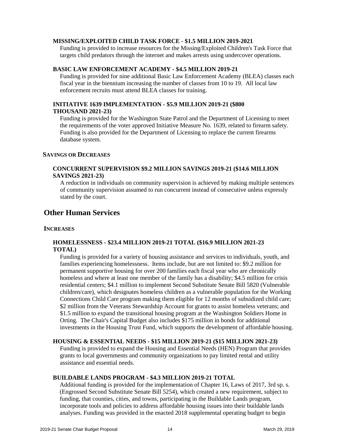#### **MISSING/EXPLOITED CHILD TASK FORCE - \$1.5 MILLION 2019-2021**

Funding is provided to increase resources for the Missing/Exploited Children's Task Force that targets child predators through the internet and makes arrests using undercover operations.

#### **BASIC LAW ENFORCEMENT ACADEMY - \$4.5 MILLION 2019-21**

Funding is provided for nine additional Basic Law Enforcement Academy (BLEA) classes each fiscal year in the biennium increasing the number of classes from 10 to 19. All local law enforcement recruits must attend BLEA classes for training.

#### **INITIATIVE 1639 IMPLEMENTATION - \$5.9 MILLION 2019-21 (\$800 THOUSAND 2021-23)**

Funding is provided for the Washington State Patrol and the Department of Licensing to meet the requirements of the voter approved Initiative Measure No. 1639, related to firearm safety. Funding is also provided for the Department of Licensing to replace the current firearms database system.

#### **SAVINGS OR DECREASES**

#### **CONCURRENT SUPERVISION \$9.2 MILLION SAVINGS 2019-21 (\$14.6 MILLION SAVINGS 2021-23)**

A reduction in individuals on community supervision is achieved by making multiple sentences of community supervision assumed to run concurrent instead of consecutive unless expressly stated by the court.

#### <span id="page-15-0"></span>**Other Human Services**

#### **INCREASES**

#### **HOMELESSNESS - \$23.4 MILLION 2019-21 TOTAL (\$16.9 MILLION 2021-23 TOTAL)**

Funding is provided for a variety of housing assistance and services to individuals, youth, and families experiencing homelessness. Items include, but are not limited to: \$9.2 million for permanent supportive housing for over 200 families each fiscal year who are chronically homeless and where at least one member of the family has a disability; \$4.5 million for crisis residential centers; \$4.1 million to implement Second Substitute Senate Bill 5820 (Vulnerable children/care), which designates homeless children as a vulnerable population for the Working Connections Child Care program making them eligible for 12 months of subsidized child care; \$2 million from the Veterans Stewardship Account for grants to assist homeless veterans; and \$1.5 million to expand the transitional housing program at the Washington Soldiers Home in Orting. The Chair's Capital Budget also includes \$175 million in bonds for additional investments in the Housing Trust Fund, which supports the development of affordable housing.

#### **HOUSING & ESSENTIAL NEEDS - \$15 MILLION 2019-21 (\$15 MILLION 2021-23)**

Funding is provided to expand the Housing and Essential Needs (HEN) Program that provides grants to local governments and community organizations to pay limited rental and utility assistance and essential needs.

#### **BUILDABLE LANDS PROGRAM - \$4.3 MILLION 2019-21 TOTAL**

Additional funding is provided for the implementation of Chapter 16, Laws of 2017, 3rd sp. s. (Engrossed Second Substitute Senate Bill 5254), which created a new requirement, subject to funding, that counties, cities, and towns, participating in the Buildable Lands program, incorporate tools and policies to address affordable housing issues into their buildable lands analyses. Funding was provided in the enacted 2018 supplemental operating budget to begin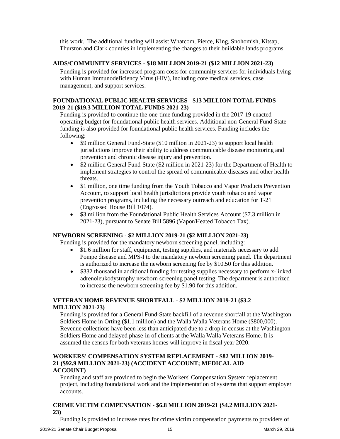this work. The additional funding will assist Whatcom, Pierce, King, Snohomish, Kitsap, Thurston and Clark counties in implementing the changes to their buildable lands programs.

#### **AIDS/COMMUNITY SERVICES - \$18 MILLION 2019-21 (\$12 MILLION 2021-23)**

Funding is provided for increased program costs for community services for individuals living with Human Immunodeficiency Virus (HIV), including core medical services, case management, and support services.

#### **FOUNDATIONAL PUBLIC HEALTH SERVICES - \$13 MILLION TOTAL FUNDS 2019-21 (\$19.3 MILLION TOTAL FUNDS 2021-23)**

Funding is provided to continue the one-time funding provided in the 2017-19 enacted operating budget for foundational public health services. Additional non-General Fund-State funding is also provided for foundational public health services. Funding includes the following:

- \$9 million General Fund-State (\$10 million in 2021-23) to support local health jurisdictions improve their ability to address communicable disease monitoring and prevention and chronic disease injury and prevention.
- \$2 million General Fund-State (\$2 million in 2021-23) for the Department of Health to implement strategies to control the spread of communicable diseases and other health threats.
- \$1 million, one time funding from the Youth Tobacco and Vapor Products Prevention Account, to support local health jurisdictions provide youth tobacco and vapor prevention programs, including the necessary outreach and education for T-21 (Engrossed House Bill 1074).
- \$3 million from the Foundational Public Health Services Account (\$7.3 million in 2021-23), pursuant to Senate Bill 5896 (Vapor/Heated Tobacco Tax).

#### **NEWBORN SCREENING - \$2 MILLION 2019-21 (\$2 MILLION 2021-23)**

Funding is provided for the mandatory newborn screening panel, including:

- \$1.6 million for staff, equipment, testing supplies, and materials necessary to add Pompe disease and MPS-I to the mandatory newborn screening panel. The department is authorized to increase the newborn screening fee by \$10.50 for this addition.
- \$332 thousand in additional funding for testing supplies necessary to perform x-linked adrenoleukodystrophy newborn screening panel testing. The department is authorized to increase the newborn screening fee by \$1.90 for this addition.

#### **VETERAN HOME REVENUE SHORTFALL - \$2 MILLION 2019-21 (\$3.2 MILLION 2021-23)**

Funding is provided for a General Fund-State backfill of a revenue shortfall at the Washington Soldiers Home in Orting (\$1.1 million) and the Walla Walla Veterans Home (\$800,000). Revenue collections have been less than anticipated due to a drop in census at the Washington Soldiers Home and delayed phase-in of clients at the Walla Walla Veterans Home. It is assumed the census for both veterans homes will improve in fiscal year 2020.

#### **WORKERS' COMPENSATION SYSTEM REPLACEMENT - \$82 MILLION 2019- 21 (\$92.9 MILLION 2021-23) (ACCIDENT ACCOUNT; MEDICAL AID ACCOUNT)**

Funding and staff are provided to begin the Workers' Compensation System replacement project, including foundational work and the implementation of systems that support employer accounts.

#### **CRIME VICTIM COMPENSATION - \$6.8 MILLION 2019-21 (\$4.2 MILLION 2021- 23)**

Funding is provided to increase rates for crime victim compensation payments to providers of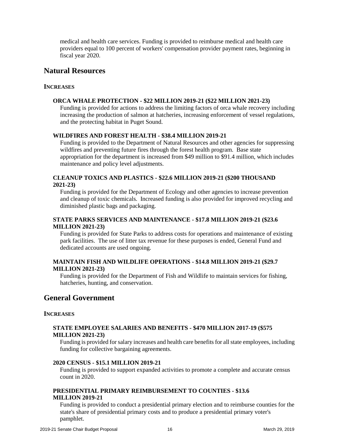medical and health care services. Funding is provided to reimburse medical and health care providers equal to 100 percent of workers' compensation provider payment rates, beginning in fiscal year 2020.

#### <span id="page-17-0"></span>**Natural Resources**

#### **INCREASES**

#### **ORCA WHALE PROTECTION - \$22 MILLION 2019-21 (\$22 MILLION 2021-23)**

Funding is provided for actions to address the limiting factors of orca whale recovery including increasing the production of salmon at hatcheries, increasing enforcement of vessel regulations, and the protecting habitat in Puget Sound.

#### **WILDFIRES AND FOREST HEALTH - \$38.4 MILLION 2019-21**

Funding is provided to the Department of Natural Resources and other agencies for suppressing wildfires and preventing future fires through the forest health program. Base state appropriation for the department is increased from \$49 million to \$91.4 million, which includes maintenance and policy level adjustments.

#### **CLEANUP TOXICS AND PLASTICS - \$22.6 MILLION 2019-21 (\$200 THOUSAND 2021-23)**

Funding is provided for the Department of Ecology and other agencies to increase prevention and cleanup of toxic chemicals. Increased funding is also provided for improved recycling and diminished plastic bags and packaging.

#### **STATE PARKS SERVICES AND MAINTENANCE - \$17.8 MILLION 2019-21 (\$23.6 MILLION 2021-23)**

Funding is provided for State Parks to address costs for operations and maintenance of existing park facilities. The use of litter tax revenue for these purposes is ended, General Fund and dedicated accounts are used ongoing.

#### **MAINTAIN FISH AND WILDLIFE OPERATIONS - \$14.8 MILLION 2019-21 (\$29.7 MILLION 2021-23)**

Funding is provided for the Department of Fish and Wildlife to maintain services for fishing, hatcheries, hunting, and conservation.

#### <span id="page-17-1"></span>**General Government**

#### **INCREASES**

#### **STATE EMPLOYEE SALARIES AND BENEFITS - \$470 MILLION 2017-19 (\$575 MILLION 2021-23)**

Funding is provided forsalary increases and health care benefits for all state employees, including funding for collective bargaining agreements.

#### **2020 CENSUS - \$15.1 MILLION 2019-21**

Funding is provided to support expanded activities to promote a complete and accurate census count in 2020.

#### **PRESIDENTIAL PRIMARY REIMBURSEMENT TO COUNTIES - \$13.6 MILLION 2019-21**

Funding is provided to conduct a presidential primary election and to reimburse counties for the state's share of presidential primary costs and to produce a presidential primary voter's pamphlet.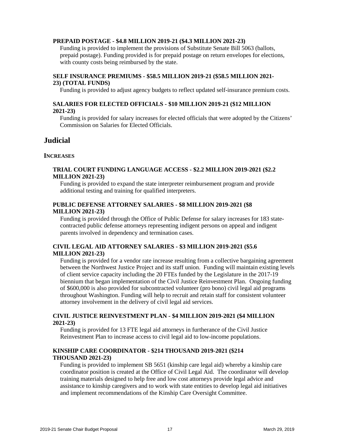#### **PREPAID POSTAGE - \$4.8 MILLION 2019-21 (\$4.3 MILLION 2021-23)**

Funding is provided to implement the provisions of Substitute Senate Bill 5063 (ballots, prepaid postage). Funding provided is for prepaid postage on return envelopes for elections, with county costs being reimbursed by the state.

#### **SELF INSURANCE PREMIUMS - \$58.5 MILLION 2019-21 (\$58.5 MILLION 2021- 23) (TOTAL FUNDS)**

Funding is provided to adjust agency budgets to reflect updated self-insurance premium costs.

#### **SALARIES FOR ELECTED OFFICIALS - \$10 MILLION 2019-21 (\$12 MILLION 2021-23)**

Funding is provided for salary increases for elected officials that were adopted by the Citizens' Commission on Salaries for Elected Officials.

#### <span id="page-18-0"></span>**Judicial**

#### **INCREASES**

#### **TRIAL COURT FUNDING LANGUAGE ACCESS - \$2.2 MILLION 2019-2021 (\$2.2 MILLION 2021-23)**

Funding is provided to expand the state interpreter reimbursement program and provide additional testing and training for qualified interpreters.

#### **PUBLIC DEFENSE ATTORNEY SALARIES - \$8 MILLION 2019-2021 (\$8 MILLION 2021-23)**

Funding is provided through the Office of Public Defense for salary increases for 183 statecontracted public defense attorneys representing indigent persons on appeal and indigent parents involved in dependency and termination cases.

#### **CIVIL LEGAL AID ATTORNEY SALARIES - \$3 MILLION 2019-2021 (\$5.6 MILLION 2021-23)**

Funding is provided for a vendor rate increase resulting from a collective bargaining agreement between the Northwest Justice Project and its staff union. Funding will maintain existing levels of client service capacity including the 20 FTEs funded by the Legislature in the 2017-19 biennium that began implementation of the Civil Justice Reinvestment Plan. Ongoing funding of \$600,000 is also provided for subcontracted volunteer (pro bono) civil legal aid programs throughout Washington. Funding will help to recruit and retain staff for consistent volunteer attorney involvement in the delivery of civil legal aid services.

#### **CIVIL JUSTICE REINVESTMENT PLAN - \$4 MILLION 2019-2021 (\$4 MILLION 2021-23)**

Funding is provided for 13 FTE legal aid attorneys in furtherance of the Civil Justice Reinvestment Plan to increase access to civil legal aid to low-income populations.

#### **KINSHIP CARE COORDINATOR - \$214 THOUSAND 2019-2021 (\$214 THOUSAND 2021-23)**

Funding is provided to implement SB 5651 (kinship care legal aid) whereby a kinship care coordinator position is created at the Office of Civil Legal Aid. The coordinator will develop training materials designed to help free and low cost attorneys provide legal advice and assistance to kinship caregivers and to work with state entities to develop legal aid initiatives and implement recommendations of the Kinship Care Oversight Committee.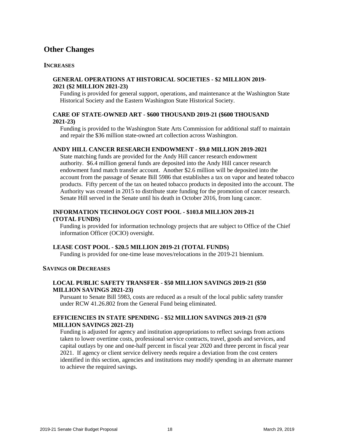#### <span id="page-19-0"></span>**Other Changes**

#### **INCREASES**

#### **GENERAL OPERATIONS AT HISTORICAL SOCIETIES - \$2 MILLION 2019- 2021 (\$2 MILLION 2021-23)**

Funding is provided for general support, operations, and maintenance at the Washington State Historical Society and the Eastern Washington State Historical Society.

#### **CARE OF STATE-OWNED ART - \$600 THOUSAND 2019-21 (\$600 THOUSAND 2021-23)**

Funding is provided to the Washington State Arts Commission for additional staff to maintain and repair the \$36 million state-owned art collection across Washington.

#### **ANDY HILL CANCER RESEARCH ENDOWMENT - \$9.0 MILLION 2019-2021**

State matching funds are provided for the Andy Hill cancer research endowment authority. \$6.4 million general funds are deposited into the Andy Hill cancer research endowment fund match transfer account. Another \$2.6 million will be deposited into the account from the passage of Senate Bill 5986 that establishes a tax on vapor and heated tobacco products. Fifty percent of the tax on heated tobacco products in deposited into the account. The Authority was created in 2015 to distribute state funding for the promotion of cancer research. Senate Hill served in the Senate until his death in October 2016, from lung cancer.

#### **INFORMATION TECHNOLOGY COST POOL - \$103.8 MILLION 2019-21 (TOTAL FUNDS)**

Funding is provided for information technology projects that are subject to Office of the Chief information Officer (OCIO) oversight.

#### **LEASE COST POOL - \$20.5 MILLION 2019-21 (TOTAL FUNDS)**

Funding is provided for one-time lease moves/relocations in the 2019-21 biennium.

#### **SAVINGS OR DECREASES**

#### **LOCAL PUBLIC SAFETY TRANSFER - \$50 MILLION SAVINGS 2019-21 (\$50 MILLION SAVINGS 2021-23)**

Pursuant to Senate Bill 5983, costs are reduced as a result of the local public safety transfer under RCW 41.26.802 from the General Fund being eliminated.

#### **EFFICIENCIES IN STATE SPENDING - \$52 MILLION SAVINGS 2019-21 (\$70 MILLION SAVINGS 2021-23)**

Funding is adjusted for agency and institution appropriations to reflect savings from actions taken to lower overtime costs, professional service contracts, travel, goods and services, and capital outlays by one and one-half percent in fiscal year 2020 and three percent in fiscal year 2021. If agency or client service delivery needs require a deviation from the cost centers identified in this section, agencies and institutions may modify spending in an alternate manner to achieve the required savings.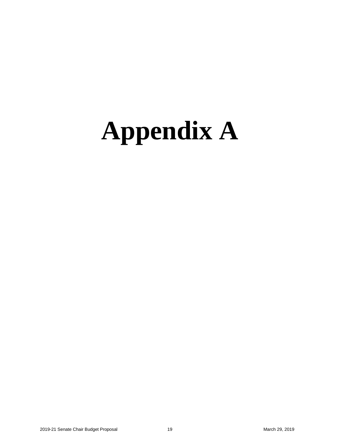## <span id="page-20-0"></span>**Appendix A**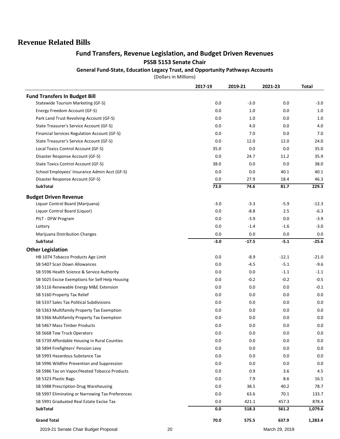#### **Revenue Related Bills**

#### **Fund Transfers, Revenue Legislation, and Budget Driven Revenues PSSB 5153 Senate Chair**

**General Fund-State, Education Legacy Trust, and Opportunity Pathways Accounts**

(Dollars in Millions)

|                                                  | 2017-19 | 2019-21 | 2021-23 | <b>Total</b> |
|--------------------------------------------------|---------|---------|---------|--------------|
| <b>Fund Transfers In Budget Bill</b>             |         |         |         |              |
| Statewide Tourism Marketing (GF-S)               | 0.0     | $-3.0$  | 0.0     | $-3.0$       |
| Energy Freedom Account (GF-S)                    | 0.0     | 1.0     | 0.0     | 1.0          |
| Park Land Trust Revolving Account (GF-S)         | 0.0     | 1.0     | 0.0     | 1.0          |
| State Treasurer's Service Account (GF-S)         | 0.0     | 4.0     | 0.0     | 4.0          |
| Financial Services Regulation Account (GF-S)     | 0.0     | 7.0     | 0.0     | 7.0          |
| State Treasurer's Service Account (GF-S)         | 0.0     | 12.0    | 12.0    | 24.0         |
| Local Toxics Control Account (GF-S)              | 35.0    | 0.0     | 0.0     | 35.0         |
| Disaster Response Account (GF-S)                 | 0.0     | 24.7    | 11.2    | 35.9         |
| State Toxics Control Account (GF-S)              | 38.0    | 0.0     | 0.0     | 38.0         |
| School Employees' Insurance Admin Acct (GF-S)    | 0.0     | 0.0     | 40.1    | 40.1         |
| Disaster Response Account (GF-S)                 | 0.0     | 27.9    | 18.4    | 46.3         |
| <b>SubTotal</b>                                  | 73.0    | 74.6    | 81.7    | 229.3        |
| <b>Budget Driven Revenue</b>                     |         |         |         |              |
| Liquor Control Board (Marijuana)                 | $-3.0$  | $-3.3$  | $-5.9$  | $-12.3$      |
| Liquor Control Board (Liquor)                    | 0.0     | $-8.8$  | 2.5     | $-6.3$       |
| PILT - DFW Program                               | 0.0     | $-3.9$  | 0.0     | $-3.9$       |
| Lottery                                          | 0.0     | $-1.4$  | $-1.6$  | $-3.0$       |
| Marijuana Distribution Changes                   | 0.0     | 0.0     | 0.0     | 0.0          |
| <b>SubTotal</b>                                  | $-3.0$  | $-17.5$ | $-5.1$  | $-25.6$      |
| <b>Other Legislation</b>                         |         |         |         |              |
| HB 1074 Tobacco Products Age Limit               | 0.0     | $-8.9$  | $-12.1$ | $-21.0$      |
| SB 5407 Scan Down Allowances                     | 0.0     | $-4.5$  | $-5.1$  | $-9.6$       |
| SB 5596 Health Science & Service Authority       | 0.0     | 0.0     | $-1.1$  | $-1.1$       |
| SB 5025 Excise Exemptions for Self Help Housing  | 0.0     | $-0.2$  | $-0.2$  | $-0.5$       |
| SB 5116 Renewable Energy M&E Extension           | 0.0     | 0.0     | 0.0     | $-0.1$       |
| SB 5160 Property Tax Relief                      | 0.0     | 0.0     | 0.0     | 0.0          |
| SB 5337 Sales Tax Political Subdivisions         | 0.0     | 0.0     | 0.0     | 0.0          |
| SB 5363 Multifamily Property Tax Exemption       | 0.0     | 0.0     | 0.0     | 0.0          |
| SB 5366 Multifamily Property Tax Exemption       | 0.0     | 0.0     | 0.0     | 0.0          |
| SB 5467 Mass Timber Products                     | 0.0     | 0.0     | 0.0     | 0.0          |
| SB 5668 Tow Truck Operators                      | 0.0     | 0.0     | 0.0     | 0.0          |
| SB 5739 Affordable Housing in Rural Counties     | 0.0     | 0.0     | 0.0     | 0.0          |
| SB 5894 Firefighters' Pension Levy               | 0.0     | 0.0     | 0.0     | 0.0          |
| SB 5993 Hazardous Substance Tax                  | 0.0     | 0.0     | 0.0     | 0.0          |
| SB 5996 Wildfire Prevention and Suppression      | 0.0     | 0.0     | 0.0     | 0.0          |
| SB 5986 Tax on Vapor/Heated Tobacco Products     | 0.0     | 0.9     | 3.6     | 4.5          |
| SB 5323 Plastic Bags                             | 0.0     | 7.9     | 8.6     | 16.5         |
| SB 5988 Prescription Drug Warehousing            | 0.0     | 38.5    | 40.2    | 78.7         |
| SB 5997 Eliminating or Narrowing Tax Preferences | 0.0     | 63.6    | 70.1    | 133.7        |
| SB 5991 Graduated Real Estate Excise Tax         | 0.0     | 421.1   | 457.3   | 878.4        |
| <b>SubTotal</b>                                  | 0.0     | 518.3   | 561.2   | 1,079.6      |
| <b>Grand Total</b>                               | 70.0    | 575.5   | 637.9   | 1,283.4      |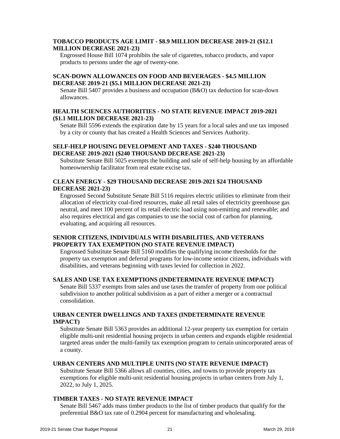#### **TOBACCO PRODUCTS AGE LIMIT - \$8.9 MILLION DECREASE 2019-21 (\$12.1 MILLION DECREASE 2021-23)**

Engrossed House Bill 1074 prohibits the sale of cigarettes, tobacco products, and vapor products to persons under the age of twenty-one.

#### **SCAN-DOWN ALLOWANCES ON FOOD AND BEVERAGES - \$4.5 MILLION DECREASE 2019-21 (\$5.1 MILLION DECREASE 2021-23)**

Senate Bill 5407 provides a business and occupation (B&O) tax deduction for scan-down allowances.

#### **HEALTH SCIENCES AUTHORITIES - NO STATE REVENUE IMPACT 2019-2021 (\$1.1 MILLION DECREASE 2021-23)**

Senate Bill 5596 extends the expiration date by 15 years for a local sales and use tax imposed by a city or county that has created a Health Sciences and Services Authority.

#### **SELF-HELP HOUSING DEVELOPMENT AND TAXES - \$240 THOUSAND DECREASE 2019-2021 (\$240 THOUSAND DECREASE 2021-23)**

Substitute Senate Bill 5025 exempts the building and sale of self-help housing by an affordable homeownership facilitator from real estate excise tax.

#### **CLEAN ENERGY - \$29 THOUSAND DECREASE 2019-2021 \$24 THOUSAND DECREASE 2021-23)**

Engrossed Second Substitute Senate Bill 5116 requires electric utilities to eliminate from their allocation of electricity coal-fired resources, make all retail sales of electricity greenhouse gas neutral, and meet 100 percent of its retail electric load using non-emitting and renewable; and also requires electrical and gas companies to use the social cost of carbon for planning, evaluating, and acquiring all resources.

#### **SENIOR CITIZENS, INDIVIDUALS WITH DISABILITIES, AND VETERANS PROPERTY TAX EXEMPTION (NO STATE REVENUE IMPACT)**

Engrossed Substitute Senate Bill 5160 modifies the qualifying income thresholds for the property tax exemption and deferral programs for low-income senior citizens, individuals with disabilities, and veterans beginning with taxes levied for collection in 2022.

#### **SALES AND USE TAX EXEMPTIONS (INDETERMINATE REVENUE IMPACT)**

Senate Bill 5337 exempts from sales and use taxes the transfer of property from one political subdivision to another political subdivision as a part of either a merger or a contractual consolidation.

#### **URBAN CENTER DWELLINGS AND TAXES (INDETERMINATE REVENUE IMPACT)**

Substitute Senate Bill 5363 provides an additional 12-year property tax exemption for certain eligible multi-unit residential housing projects in urban centers and expands eligible residential targeted areas under the multi-family tax exemption program to certain unincorporated areas of a county.

#### **URBAN CENTERS AND MULTIPLE UNITS (NO STATE REVENUE IMPACT)**

Substitute Senate Bill 5366 allows all counties, cities, and towns to provide property tax exemptions for eligible multi-unit residential housing projects in urban centers from July 1, 2022, to July 1, 2025.

#### **TIMBER TAXES - NO STATE REVENUE IMPACT**

Senate Bill 5467 adds mass timber products to the list of timber products that qualify for the preferential B&O tax rate of 0.2904 percent for manufacturing and wholesaling.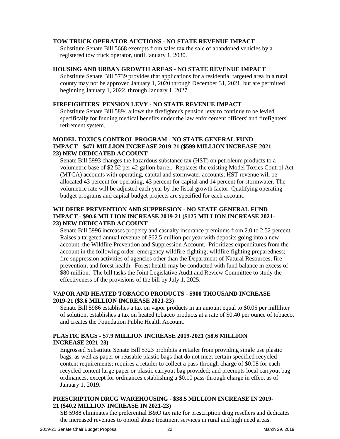#### **TOW TRUCK OPERATOR AUCTIONS - NO STATE REVENUE IMPACT**

Substitute Senate Bill 5668 exempts from sales tax the sale of abandoned vehicles by a registered tow truck operator, until January 1, 2030.

#### **HOUSING AND URBAN GROWTH AREAS - NO STATE REVENUE IMPACT**

Substitute Senate Bill 5739 provides that applications for a residential targeted area in a rural county may not be approved January 1, 2020 through December 31, 2021, but are permitted beginning January 1, 2022, through January 1, 2027.

#### **FIREFIGHTERS' PENSION LEVY - NO STATE REVENUE IMPACT**

Substitute Senate Bill 5894 allows the firefighter's pension levy to continue to be levied specifically for funding medical benefits under the law enforcement officers' and firefighters' retirement system.

#### **MODEL TOXICS CONTROL PROGRAM - NO STATE GENERAL FUND IMPACT - \$471 MILLION INCREASE 2019-21 (\$599 MILLION INCREASE 2021- 23) NEW DEDICATED ACCOUNT**

Senate Bill 5993 changes the hazardous substance tax (HST) on petroleum products to a volumetric base of \$2.52 per 42-gallon barrel. Replaces the existing Model Toxics Control Act (MTCA) accounts with operating, capital and stormwater accounts; HST revenue will be allocated 43 percent for operating, 43 percent for capital and 14 percent for stormwater. The volumetric rate will be adjusted each year by the fiscal growth factor. Qualifying operating budget programs and capital budget projects are specified for each account.

#### **WILDFIRE PREVENTION AND SUPPRESION - NO STATE GENERAL FUND IMPACT - \$90.6 MILLION INCREASE 2019-21 (\$125 MILLION INCREASE 2021- 23) NEW DEDICATED ACCOUNT**

Senate Bill 5996 increases property and casualty insurance premiums from 2.0 to 2.52 percent. Raises a targeted annual revenue of \$62.5 million per year with deposits going into a new account, the Wildfire Prevention and Suppression Account. Prioritizes expenditures from the account in the following order: emergency wildfire-fighting; wildfire-fighting preparedness; fire suppression activities of agencies other than the Department of Natural Resources; fire prevention; and forest health. Forest health may be conducted with fund balance in excess of \$80 million. The bill tasks the Joint Legislative Audit and Review Committee to study the effectiveness of the provisions of the bill by July 1, 2025.

#### **VAPOR AND HEATED TOBACCO PRODUCTS - \$900 THOUSAND INCREASE 2019-21 (\$3.6 MILLION INCREASE 2021-23)**

Senate Bill 5986 establishes a tax on vapor products in an amount equal to \$0.05 per milliliter of solution, establishes a tax on heated tobacco products at a rate of \$0.40 per ounce of tobacco, and creates the Foundation Public Health Account.

#### **PLASTIC BAGS - \$7.9 MILLION INCREASE 2019-2021 (\$8.6 MILLION INCREASE 2021-23)**

Engrossed Substitute Senate Bill 5323 prohibits a retailer from providing single use plastic bags, as well as paper or reusable plastic bags that do not meet certain specified recycled content requirements; requires a retailer to collect a pass-through charge of \$0.08 for each recycled content large paper or plastic carryout bag provided; and preempts local carryout bag ordinances, except for ordinances establishing a \$0.10 pass-through charge in effect as of January 1, 2019.

#### **PRESCRIPTION DRUG WAREHOUSING - \$38.5 MILLION INCREASE IN 2019- 21 (\$40.2 MILLION INCREASE IN 2021-23)**

SB 5988 eliminates the preferential B&O tax rate for prescription drug resellers and dedicates the increased revenues to opioid abuse treatment services in rural and high need areas.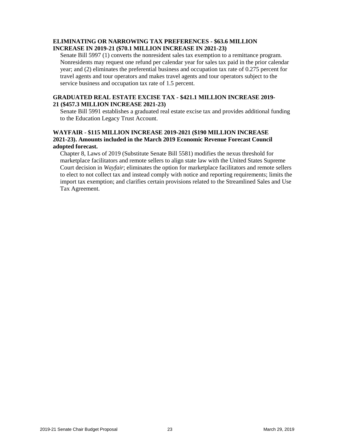#### **ELIMINATING OR NARROWING TAX PREFERENCES - \$63.6 MILLION INCREASE IN 2019-21 (\$70.1 MILLION INCREASE IN 2021-23)**

Senate Bill 5997 (1) converts the nonresident sales tax exemption to a remittance program. Nonresidents may request one refund per calendar year for sales tax paid in the prior calendar year; and (2) eliminates the preferential business and occupation tax rate of 0.275 percent for travel agents and tour operators and makes travel agents and tour operators subject to the service business and occupation tax rate of 1.5 percent.

#### **GRADUATED REAL ESTATE EXCISE TAX - \$421.1 MILLION INCREASE 2019- 21 (\$457.3 MILLION INCREASE 2021-23)**

Senate Bill 5991 establishes a graduated real estate excise tax and provides additional funding to the Education Legacy Trust Account.

#### **WAYFAIR - \$115 MILLION INCREASE 2019-2021 (\$190 MILLION INCREASE 2021-23). Amounts included in the March 2019 Economic Revenue Forecast Council adopted forecast.**

Chapter 8, Laws of 2019 (Substitute Senate Bill 5581) modifies the nexus threshold for marketplace facilitators and remote sellers to align state law with the United States Supreme Court decision in *Wayfair*; eliminates the option for marketplace facilitators and remote sellers to elect to not collect tax and instead comply with notice and reporting requirements; limits the import tax exemption; and clarifies certain provisions related to the Streamlined Sales and Use Tax Agreement.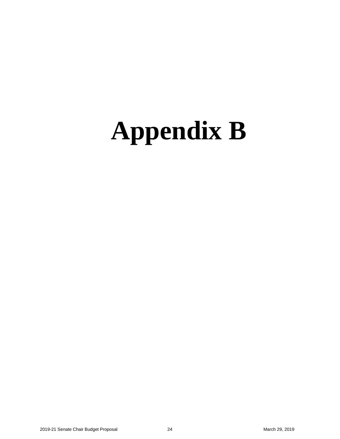### <span id="page-25-0"></span>**Appendix B**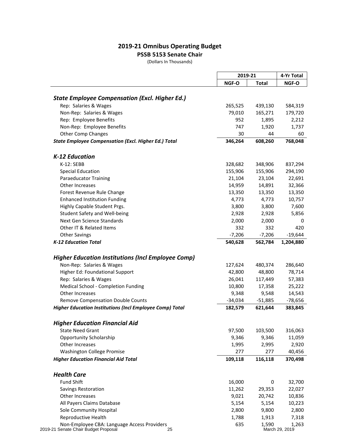#### **2019-21 Omnibus Operating Budget**

#### **PSSB 5153 Senate Chair**

(Dollars In Thousands)

|                                                                 |              | 2019-21      |                 |
|-----------------------------------------------------------------|--------------|--------------|-----------------|
|                                                                 | NGF-O        | <b>Total</b> | NGF-O           |
|                                                                 |              |              |                 |
| <b>State Employee Compensation (Excl. Higher Ed.)</b>           |              |              |                 |
| Rep: Salaries & Wages                                           | 265,525      | 439,130      | 584,319         |
| Non-Rep: Salaries & Wages                                       | 79,010       | 165,271      | 179,720         |
| Rep: Employee Benefits                                          | 952          | 1,895        | 2,212           |
| Non-Rep: Employee Benefits                                      | 747          | 1,920        | 1,737           |
| <b>Other Comp Changes</b>                                       | 30           | 44           | 60              |
| <b>State Employee Compensation (Excl. Higher Ed.) Total</b>     | 346,264      | 608,260      | 768,048         |
| K-12 Education                                                  |              |              |                 |
| K-12: SEBB                                                      | 328,682      | 348,906      | 837,294         |
| <b>Special Education</b>                                        | 155,906      | 155,906      | 294,190         |
| <b>Paraeducator Training</b>                                    | 21,104       | 23,104       | 22,691          |
| <b>Other Increases</b>                                          | 14,959       | 14,891       | 32,366          |
| Forest Revenue Rule Change                                      | 13,350       | 13,350       | 13,350          |
| <b>Enhanced Institution Funding</b>                             | 4,773        | 4,773        | 10,757          |
| Highly Capable Student Prgs.                                    | 3,800        | 3,800        | 7,600           |
| <b>Student Safety and Well-being</b>                            | 2,928        | 2,928        | 5,856           |
| Next Gen Science Standards                                      | 2,000        | 2,000        | 0               |
| Other IT & Related Items                                        | 332          | 332          | 420             |
| <b>Other Savings</b>                                            | $-7,206$     | $-7,206$     | $-19,644$       |
| <b>K-12 Education Total</b>                                     | 540,628      | 562,784      | 1,204,880       |
|                                                                 |              |              |                 |
| <b>Higher Education Institutions (Incl Employee Comp)</b>       |              |              |                 |
| Non-Rep: Salaries & Wages                                       | 127,624      | 480,374      | 286,640         |
| Higher Ed: Foundational Support                                 | 42,800       | 48,800       | 78,714          |
| Rep: Salaries & Wages                                           | 26,041       | 117,449      | 57,383          |
| Medical School - Completion Funding                             | 10,800       | 17,358       | 25,222          |
| Other Increases                                                 | 9,348        | 9,548        | 14,543          |
| Remove Compensation Double Counts                               | $-34,034$    | $-51,885$    | $-78,656$       |
| <b>Higher Education Institutions (Incl Employee Comp) Total</b> | 182,579      | 621,644      | 383,845         |
| <b>Higher Education Financial Aid</b>                           |              |              |                 |
| <b>State Need Grant</b>                                         | 97,500       | 103,500      | 316,063         |
| <b>Opportunity Scholarship</b>                                  | 9,346        | 9,346        | 11,059          |
| Other Increases                                                 |              |              |                 |
| <b>Washington College Promise</b>                               | 1,995<br>277 | 2,995<br>277 | 2,920<br>40,456 |
|                                                                 |              |              |                 |
| <b>Higher Education Financial Aid Total</b>                     | 109,118      | 116,118      | 370,498         |
| <b>Health Care</b>                                              |              |              |                 |
| <b>Fund Shift</b>                                               | 16,000       | 0            | 32,700          |
| Savings Restoration                                             | 11,262       | 29,353       | 22,027          |
| Other Increases                                                 | 9,021        | 20,742       | 10,836          |
| All Payers Claims Database                                      | 5,154        | 5,154        | 10,223          |
| Sole Community Hospital                                         | 2,800        | 9,800        | 2,800           |
| Reproductive Health                                             | 1,788        | 1,913        | 7,318           |
| Non-Employee CBA: Language Access Providers                     | 635          | 1,590        | 1,263           |

2019-21 Senate Chair Budget Proposal 25 March 29, 2019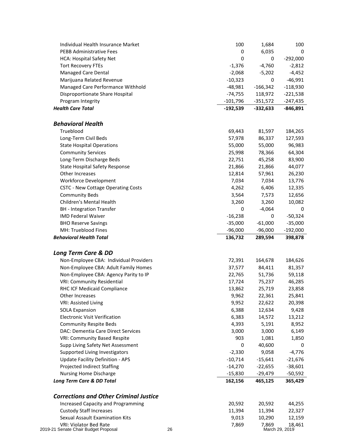| Individual Health Insurance Market            | 100         | 1,684      | 100            |
|-----------------------------------------------|-------------|------------|----------------|
| <b>PEBB Administrative Fees</b>               | 0           | 6,035      | 0              |
| <b>HCA: Hospital Safety Net</b>               | $\mathbf 0$ | 0          | $-292,000$     |
| <b>Tort Recovery FTEs</b>                     | $-1,376$    | $-4,760$   | $-2,812$       |
| <b>Managed Care Dental</b>                    | $-2,068$    | $-5,202$   | $-4,452$       |
| Marijuana Related Revenue                     | $-10,323$   | 0          | $-46,991$      |
| Managed Care Performance Withhold             | $-48,981$   | $-166,342$ | $-118,930$     |
| Disproportionate Share Hospital               | $-74,755$   | 118,972    | $-221,538$     |
| Program Integrity                             | $-101,796$  | $-351,572$ | -247,435       |
| <b>Health Care Total</b>                      | $-192,539$  | $-332,633$ | $-846,891$     |
| <b>Behavioral Health</b>                      |             |            |                |
| Trueblood                                     | 69,443      | 81,597     | 184,265        |
| Long-Term Civil Beds                          | 57,978      | 86,337     | 127,593        |
| <b>State Hospital Operations</b>              | 55,000      | 55,000     | 96,983         |
| <b>Community Services</b>                     | 25,998      | 78,366     | 64,304         |
| Long-Term Discharge Beds                      | 22,751      | 45,258     | 83,900         |
| <b>State Hospital Safety Response</b>         | 21,866      | 21,866     | 44,077         |
| Other Increases                               | 12,814      | 57,961     | 26,230         |
| Workforce Development                         | 7,034       | 7,034      | 13,776         |
| <b>CSTC - New Cottage Operating Costs</b>     | 4,262       | 6,406      | 12,335         |
| <b>Community Beds</b>                         | 3,564       | 7,573      | 12,656         |
| Children's Mental Health                      | 3,260       | 3,260      | 10,082         |
| <b>BH</b> - Integration Transfer              | 0           | $-4,064$   | 0              |
| <b>IMD Federal Waiver</b>                     | $-16,238$   | 0          | $-50,324$      |
| <b>BHO Reserve Savings</b>                    | $-35,000$   | $-61,000$  | $-35,000$      |
| MH: Trueblood Fines                           | $-96,000$   | $-96,000$  | $-192,000$     |
| <b>Behavioral Health Total</b>                | 136,732     | 289,594    | 398,878        |
| Long Term Care & DD                           |             |            |                |
| Non-Employee CBA: Individual Providers        | 72,391      | 164,678    | 184,626        |
| Non-Employee CBA: Adult Family Homes          | 37,577      | 84,411     | 81,357         |
| Non-Employee CBA: Agency Parity to IP         | 22,765      | 51,736     | 59,118         |
| <b>VRI: Community Residential</b>             | 17,724      | 75,237     | 46,285         |
| RHC ICF Medicaid Compliance                   | 13,862      | 25,719     | 23,858         |
| Other Increases                               | 9,962       | 22,361     | 25,841         |
| <b>VRI: Assisted Living</b>                   | 9,952       | 22,622     | 20,398         |
| <b>SOLA Expansion</b>                         | 6,388       | 12,634     | 9,428          |
| <b>Electronic Visit Verification</b>          | 6,383       | 14,572     | 13,212         |
| <b>Community Respite Beds</b>                 | 4,393       | 5,191      | 8,952          |
| DAC: Dementia Care Direct Services            | 3,000       | 3,000      | 6,149          |
| VRI: Community Based Respite                  | 903         | 1,081      | 1,850          |
| Supp Living Safety Net Assessment             | 0           | 40,600     | 0              |
| Supported Living Investigators                | $-2,330$    | 9,058      | $-4,776$       |
| <b>Update Facility Definition - APS</b>       | $-10,714$   | $-15,641$  | $-21,676$      |
| Projected Indirect Staffing                   | $-14,270$   | $-22,655$  | $-38,601$      |
| Nursing Home Discharge                        | $-15,830$   | $-29,479$  | $-50,592$      |
| Long Term Care & DD Total                     | 162,156     | 465,125    | 365,429        |
| <b>Corrections and Other Criminal Justice</b> |             |            |                |
| <b>Increased Capacity and Programming</b>     | 20,592      | 20,592     | 44,255         |
| <b>Custody Staff Increases</b>                | 11,394      | 11,394     | 22,327         |
| Sexual Assault Examination Kits               | 9,013       | 10,290     | 12,159         |
| VRI: Violator Bed Rate                        | 7,869       | 7,869      | 18,461         |
| 2019-21 Senate Chair Budget Proposal<br>26    |             |            | March 29, 2019 |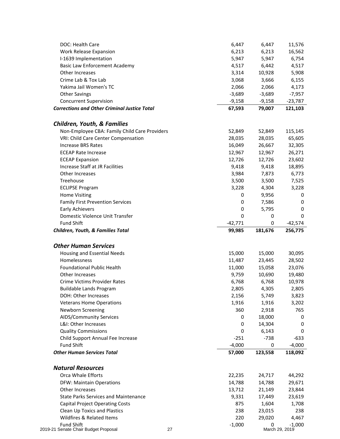| DOC: Health Care                                    | 6,447               | 6,447        | 11,576               |
|-----------------------------------------------------|---------------------|--------------|----------------------|
| Work Release Expansion                              | 6,213               | 6,213        | 16,562               |
| I-1639 Implementation                               | 5,947               | 5,947        | 6,754                |
| <b>Basic Law Enforcement Academy</b>                | 4,517               | 6,442        | 4,517                |
| Other Increases                                     | 3,314               | 10,928       | 5,908                |
| Crime Lab & Tox Lab                                 | 3,068               | 3,666        | 6,155                |
| Yakima Jail Women's TC                              | 2,066               | 2,066        | 4,173                |
| <b>Other Savings</b>                                | $-3,689$            | $-3,689$     | $-7,957$             |
| <b>Concurrent Supervision</b>                       | $-9,158$            | $-9,158$     | $-23,787$            |
| <b>Corrections and Other Criminal Justice Total</b> | 67,593              | 79,007       | 121,103              |
| <b>Children, Youth, &amp; Families</b>              |                     |              |                      |
| Non-Employee CBA: Family Child Care Providers       | 52,849              | 52,849       | 115,145              |
| VRI: Child Care Center Compensation                 | 28,035              | 28,035       | 65,605               |
| <b>Increase BRS Rates</b>                           | 16,049              | 26,667       | 32,305               |
| <b>ECEAP Rate Increase</b>                          | 12,967              | 12,967       | 26,271               |
| <b>ECEAP Expansion</b>                              | 12,726              | 12,726       | 23,602               |
| Increase Staff at JR Facilities                     | 9,418               | 9,418        | 18,895               |
| Other Increases                                     | 3,984               | 7,873        | 6,773                |
| Treehouse                                           | 3,500               | 3,500        | 7,525                |
|                                                     | 3,228               | 4,304        | 3,228                |
| <b>ECLIPSE Program</b>                              |                     |              |                      |
| <b>Home Visiting</b>                                | 0                   | 9,956        | 0                    |
| <b>Family First Prevention Services</b>             | 0                   | 7,586        | 0                    |
| <b>Early Achievers</b>                              | 0                   | 5,795        | 0                    |
| Domestic Violence Unit Transfer                     | 0                   | 0            | 0                    |
| <b>Fund Shift</b>                                   | $-42,771$<br>99,985 | 0<br>181,676 | $-42,574$<br>256,775 |
| Children, Youth, & Families Total                   |                     |              |                      |
| <b>Other Human Services</b>                         |                     |              |                      |
| Housing and Essential Needs                         | 15,000              | 15,000       | 30,095               |
| Homelessness                                        | 11,487              | 23,445       | 28,502               |
| <b>Foundational Public Health</b>                   | 11,000              | 15,058       | 23,076               |
| Other Increases                                     | 9,759               | 10,690       | 19,480               |
| <b>Crime Victims Provider Rates</b>                 | 6,768               | 6,768        | 10,978               |
| <b>Buildable Lands Program</b>                      | 2,805               | 4,305        | 2,805                |
| DOH: Other Increases                                | 2,156               | 5,749        | 3,823                |
| <b>Veterans Home Operations</b>                     | 1,916               | 1,916        | 3,202                |
| Newborn Screening                                   | 360                 | 2,918        | 765                  |
| <b>AIDS/Community Services</b>                      | 0                   | 18,000       | 0                    |
| L&I: Other Increases                                | 0                   | 14,304       | 0                    |
| <b>Quality Commissions</b>                          | 0                   | 6,143        | 0                    |
| Child Support Annual Fee Increase                   | $-251$              | $-738$       | $-633$               |
| <b>Fund Shift</b>                                   | $-4,000$            | 0            | $-4,000$             |
| <b>Other Human Services Total</b>                   | 57,000              | 123,558      | 118,092              |
| <b>Natural Resources</b>                            |                     |              |                      |
| Orca Whale Efforts                                  | 22,235              | 24,717       | 44,292               |
| <b>DFW: Maintain Operations</b>                     | 14,788              | 14,788       | 29,671               |
| Other Increases                                     | 13,712              | 21,149       | 23,844               |
| <b>State Parks Services and Maintenance</b>         | 9,331               | 17,449       | 23,619               |
| <b>Capital Project Operating Costs</b>              | 875                 | 1,604        | 1,708                |
| <b>Clean Up Toxics and Plastics</b>                 | 238                 | 23,015       | 238                  |
| Wildfires & Related Items                           | 220                 | 29,020       | 4,467                |
|                                                     |                     |              |                      |
| <b>Fund Shift</b>                                   | $-1,000$            | 0            | $-1,000$             |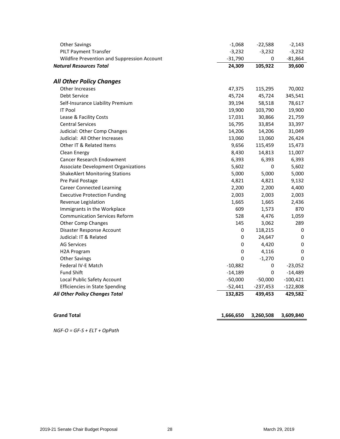| <b>Other Savings</b>                        | $-1,068$  | $-22,588$  | $-2,143$   |
|---------------------------------------------|-----------|------------|------------|
| <b>PILT Payment Transfer</b>                | $-3,232$  | $-3,232$   | $-3,232$   |
| Wildfire Prevention and Suppression Account | $-31,790$ | 0          | $-81,864$  |
| <b>Natural Resources Total</b>              | 24,309    | 105,922    | 39,600     |
| <b>All Other Policy Changes</b>             |           |            |            |
| <b>Other Increases</b>                      | 47,375    | 115,295    | 70,002     |
| Debt Service                                | 45,724    | 45,724     | 345,541    |
| Self-Insurance Liability Premium            | 39,194    | 58,518     | 78,617     |
| <b>IT Pool</b>                              | 19,900    | 103,790    | 19,900     |
| Lease & Facility Costs                      | 17,031    | 30,866     | 21,759     |
| <b>Central Services</b>                     | 16,795    | 33,854     | 33,397     |
| Judicial: Other Comp Changes                | 14,206    | 14,206     | 31,049     |
| Judicial: All Other Increases               | 13,060    | 13,060     | 26,424     |
| Other IT & Related Items                    | 9,656     | 115,459    | 15,473     |
| Clean Energy                                | 8,430     | 14,813     | 11,007     |
| <b>Cancer Research Endowment</b>            | 6,393     | 6,393      | 6,393      |
| Associate Development Organizations         | 5,602     | 0          | 5,602      |
| <b>ShakeAlert Monitoring Stations</b>       | 5,000     | 5,000      | 5,000      |
| Pre Paid Postage                            | 4,821     | 4,821      | 9,132      |
| <b>Career Connected Learning</b>            | 2,200     | 2,200      | 4,400      |
| <b>Executive Protection Funding</b>         | 2,003     | 2,003      | 2,003      |
| Revenue Legislation                         | 1,665     | 1,665      | 2,436      |
| Immigrants in the Workplace                 | 609       | 1,573      | 870        |
| <b>Communication Services Reform</b>        | 528       | 4,476      | 1,059      |
| <b>Other Comp Changes</b>                   | 145       | 3,062      | 289        |
| Disaster Response Account                   | 0         | 118,215    | 0          |
| Judicial: IT & Related                      | 0         | 24,647     | 0          |
| <b>AG Services</b>                          | 0         | 4,420      | 0          |
| H2A Program                                 | 0         | 4,116      | 0          |
| <b>Other Savings</b>                        | 0         | $-1,270$   | 0          |
| Federal IV-E Match                          | $-10,882$ | 0          | $-23,052$  |
| <b>Fund Shift</b>                           | $-14,189$ | 0          | $-14,489$  |
| Local Public Safety Account                 | $-50,000$ | $-50,000$  | $-100,421$ |
| <b>Efficiencies in State Spending</b>       | $-52,441$ | $-237,453$ | $-122,808$ |
| <b>All Other Policy Changes Total</b>       | 132,825   | 439,453    | 429,582    |
|                                             |           |            |            |
| <b>Grand Total</b>                          | 1,666,650 | 3,260,508  | 3,609,840  |

*NGF-O = GF-S + ELT + OpPath*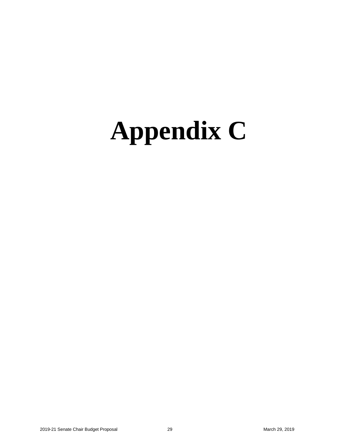## <span id="page-30-0"></span>**Appendix C**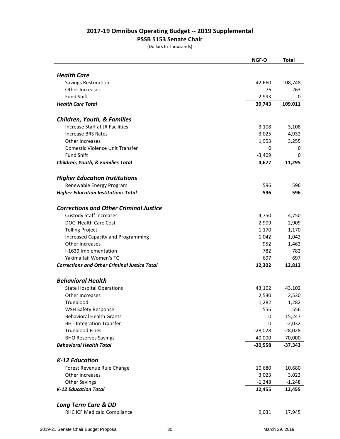#### **2017-19 Omnibus Operating Budget -- 2019 Supplemental**

#### **PSSB 5153 Senate Chair**

(Dollars In Thousands)

|                                                     | <b>NGF-O</b> | <b>Total</b> |
|-----------------------------------------------------|--------------|--------------|
|                                                     |              |              |
| <b>Health Care</b>                                  |              |              |
| Savings Restoration                                 | 42,660       | 108,748      |
| Other Increases                                     | 76           | 263          |
| <b>Fund Shift</b>                                   | $-2,993$     | 0            |
| <b>Health Care Total</b>                            | 39,743       | 109,011      |
|                                                     |              |              |
| <b>Children, Youth, &amp; Families</b>              |              |              |
| Increase Staff at JR Facilities                     | 3,108        | 3,108        |
| <b>Increase BRS Rates</b>                           | 3,025        | 4,932        |
| Other Increases                                     | 1,953        | 3,255        |
| Domestic Violence Unit Transfer                     | 0            | 0            |
| <b>Fund Shift</b>                                   | $-3,409$     | 0            |
| Children, Youth, & Families Total                   | 4,677        | 11,295       |
| <b>Higher Education Institutions</b>                |              |              |
| Renewable Energy Program                            | 596          | 596          |
| <b>Higher Education Institutions Total</b>          | 596          | 596          |
|                                                     |              |              |
| <b>Corrections and Other Criminal Justice</b>       |              |              |
| <b>Custody Staff Increases</b>                      | 4,750        | 4,750        |
| <b>DOC: Health Care Cost</b>                        | 2,909        | 2,909        |
| <b>Tolling Project</b>                              | 1,170        | 1,170        |
| <b>Increased Capacity and Programming</b>           | 1,042        | 1,042        |
| Other Increases                                     | 952          | 1,462        |
| I-1639 Implementation                               | 782          | 782          |
| Yakima Jail Women's TC                              | 697          | 697          |
| <b>Corrections and Other Criminal Justice Total</b> | 12,302       | 12,812       |
| <b>Behavioral Health</b>                            |              |              |
| <b>State Hospital Operations</b>                    | 43,102       | 43,102       |
| Other Increases                                     | 2,530        | 2,530        |
| Trueblood                                           | 1,282        | 1,282        |
| <b>WSH Safety Response</b>                          | 556          | 556          |
| <b>Behavioral Health Grants</b>                     | 0            | 15,247       |
| <b>BH</b> - Integration Transfer                    | 0            | $-2,032$     |
| <b>Trueblood Fines</b>                              | $-28,028$    | $-28,028$    |
| <b>BHO Reserves Savings</b>                         | $-40,000$    | $-70,000$    |
| <b>Behavioral Health Total</b>                      | $-20,558$    | $-37,343$    |
|                                                     |              |              |
| <b>K-12 Education</b>                               |              |              |
| Forest Revenue Rule Change                          | 10,680       | 10,680       |
| Other Increases                                     | 3,023        | 3,023        |
| <b>Other Savings</b>                                | $-1,248$     | $-1,248$     |
| <b>K-12 Education Total</b>                         | 12,455       | 12,455       |
| <b>Long Term Care &amp; DD</b>                      |              |              |
| RHC ICF Medicaid Compliance                         | 9,031        | 17,945       |
|                                                     |              |              |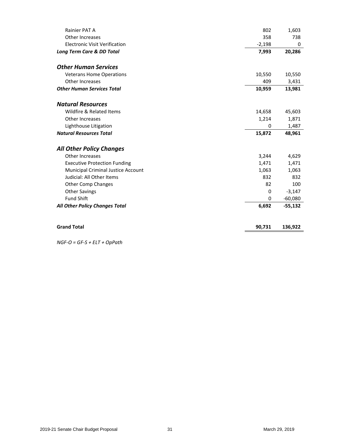| Rainier PAT A                             | 802      | 1,603     |
|-------------------------------------------|----------|-----------|
| Other Increases                           | 358      | 738       |
| <b>Electronic Visit Verification</b>      | $-2,198$ | 0         |
| Long Term Care & DD Total                 | 7,993    | 20,286    |
| <b>Other Human Services</b>               |          |           |
| <b>Veterans Home Operations</b>           | 10,550   | 10,550    |
| Other Increases                           | 409      | 3,431     |
| <b>Other Human Services Total</b>         | 10,959   | 13,981    |
| <b>Natural Resources</b>                  |          |           |
| Wildfire & Related Items                  | 14,658   | 45,603    |
| Other Increases                           | 1,214    | 1,871     |
| Lighthouse Litigation                     | 0        | 1,487     |
| <b>Natural Resources Total</b>            | 15,872   | 48,961    |
| <b>All Other Policy Changes</b>           |          |           |
| Other Increases                           | 3,244    | 4,629     |
| <b>Executive Protection Funding</b>       | 1,471    | 1,471     |
| <b>Municipal Criminal Justice Account</b> | 1,063    | 1,063     |
| Judicial: All Other Items                 | 832      | 832       |
| <b>Other Comp Changes</b>                 | 82       | 100       |
| <b>Other Savings</b>                      | 0        | $-3,147$  |
| <b>Fund Shift</b>                         | 0        | $-60,080$ |
| All Other Policy Changes Total            | 6,692    | $-55,132$ |
| <b>Grand Total</b>                        | 90,731   | 136,922   |

*NGF-O = GF-S + ELT + OpPath*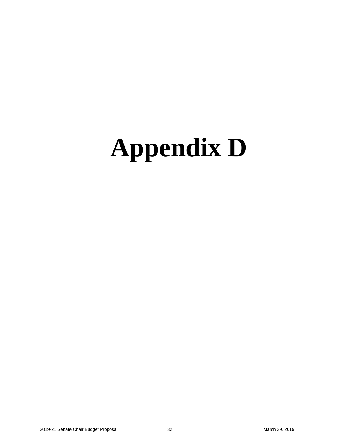## <span id="page-33-0"></span>**Appendix D**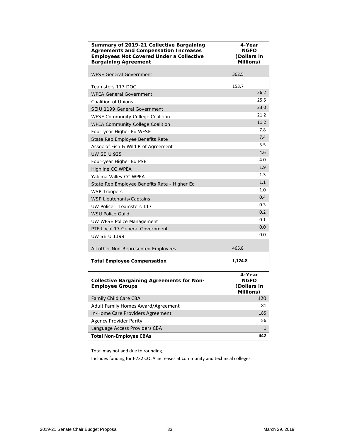| Summary of 2019-21 Collective Bargaining<br><b>Agreements and Compensation Increases</b><br><b>Employees Not Covered Under a Collective</b><br><b>Bargaining Agreement</b> | 4-Year<br><b>NGFO</b><br>(Dollars in<br><b>Millions</b> ) |
|----------------------------------------------------------------------------------------------------------------------------------------------------------------------------|-----------------------------------------------------------|
| <b>WFSE General Government</b>                                                                                                                                             | 362.5                                                     |
| Teamsters 117 DOC                                                                                                                                                          | 153.7                                                     |
| <b>WPEA General Government</b>                                                                                                                                             | 26.2                                                      |
| Coalition of Unions                                                                                                                                                        | 25.5                                                      |
| SEIU 1199 General Government                                                                                                                                               | 23.0                                                      |
| WFSE Community College Coalition                                                                                                                                           | 21.2                                                      |
| <b>WPEA Community College Coalition</b>                                                                                                                                    | 11.2                                                      |
| Four-year Higher Ed WFSE                                                                                                                                                   | 7.8                                                       |
| State Rep Employee Benefits Rate                                                                                                                                           | 7.4                                                       |
| Assoc of Fish & Wild Prof Agreement                                                                                                                                        | 5.5                                                       |
| <b>UW SEIU 925</b>                                                                                                                                                         | 4.6                                                       |
| Four-year Higher Ed PSE                                                                                                                                                    | 4.0                                                       |
| <b>Highline CC WPEA</b>                                                                                                                                                    | 1.9                                                       |
| Yakima Valley CC WPEA                                                                                                                                                      | 1.3                                                       |
| State Rep Employee Benefits Rate - Higher Ed                                                                                                                               | 1.1                                                       |
| <b>WSP Troopers</b>                                                                                                                                                        | 1.0                                                       |
| <b>WSP Lieutenants/Captains</b>                                                                                                                                            | 0.4                                                       |
| UW Police - Teamsters 117                                                                                                                                                  | 0.3                                                       |
| <b>WSU Police Guild</b>                                                                                                                                                    | 0.2                                                       |
| <b>UW WFSE Police Management</b>                                                                                                                                           | 0.1                                                       |
| PTE Local 17 General Government                                                                                                                                            | 0.0                                                       |
| <b>UW SEIU 1199</b>                                                                                                                                                        | 0.0                                                       |
| All other Non-Represented Employees                                                                                                                                        | 465.8                                                     |
| <b>Total Employee Compensation</b>                                                                                                                                         | 1,124.8                                                   |

| <b>Collective Bargaining Agreements for Non-</b><br><b>Employee Groups</b> | 4-Year<br><b>NGFO</b><br>(Dollars in<br>Millions) |
|----------------------------------------------------------------------------|---------------------------------------------------|
| <b>Family Child Care CBA</b>                                               | 120                                               |
| Adult Family Homes Award/Agreement                                         | 81                                                |
| In-Home Care Providers Agreement                                           | 185                                               |
| <b>Agency Provider Parity</b>                                              | 56                                                |
| Language Access Providers CBA                                              |                                                   |
| <b>Total Non-Employee CBAs</b>                                             | 442                                               |

Total may not add due to rounding.

Includes funding for I-732 COLA increases at community and technical colleges.